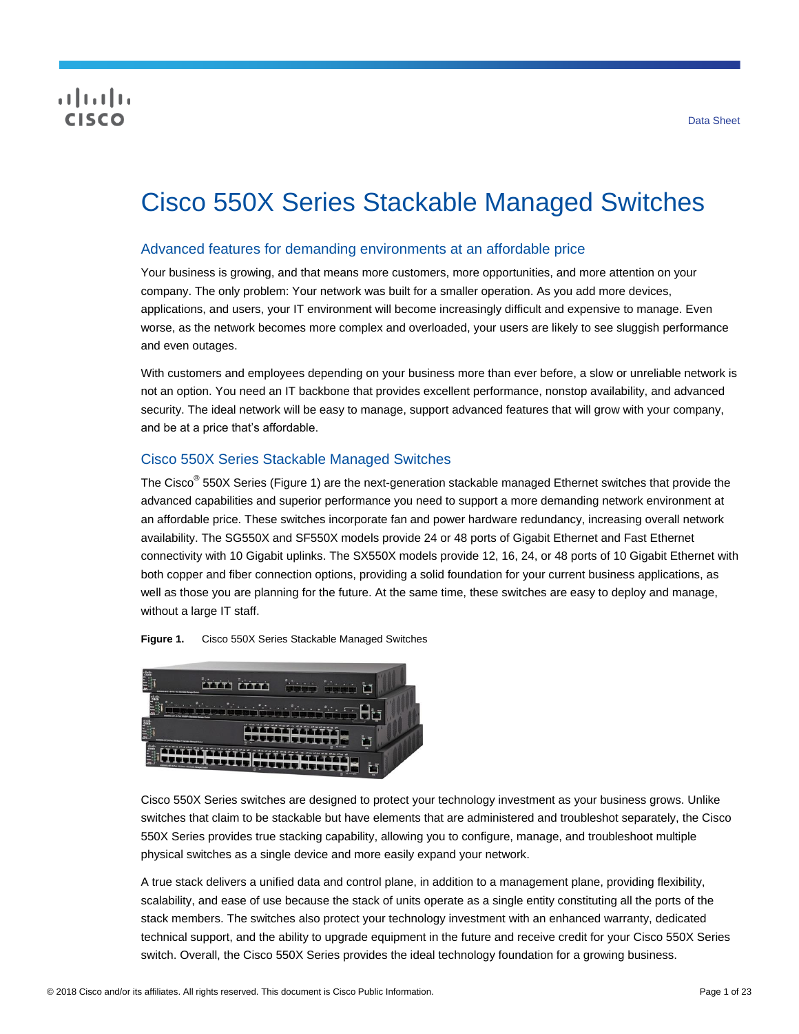# CISCO

# Cisco 550X Series Stackable Managed Switches

# Advanced features for demanding environments at an affordable price

Your business is growing, and that means more customers, more opportunities, and more attention on your company. The only problem: Your network was built for a smaller operation. As you add more devices, applications, and users, your IT environment will become increasingly difficult and expensive to manage. Even worse, as the network becomes more complex and overloaded, your users are likely to see sluggish performance and even outages.

With customers and employees depending on your business more than ever before, a slow or unreliable network is not an option. You need an IT backbone that provides excellent performance, nonstop availability, and advanced security. The ideal network will be easy to manage, support advanced features that will grow with your company, and be at a price that's affordable.

# Cisco 550X Series Stackable Managed Switches

The Cisco<sup>®</sup> 550X Series (Figure 1) are the next-generation stackable managed Ethernet switches that provide the advanced capabilities and superior performance you need to support a more demanding network environment at an affordable price. These switches incorporate fan and power hardware redundancy, increasing overall network availability. The SG550X and SF550X models provide 24 or 48 ports of Gigabit Ethernet and Fast Ethernet connectivity with 10 Gigabit uplinks. The SX550X models provide 12, 16, 24, or 48 ports of 10 Gigabit Ethernet with both copper and fiber connection options, providing a solid foundation for your current business applications, as well as those you are planning for the future. At the same time, these switches are easy to deploy and manage, without a large IT staff.

**Figure 1.** Cisco 550X Series Stackable Managed Switches



Cisco 550X Series switches are designed to protect your technology investment as your business grows. Unlike switches that claim to be stackable but have elements that are administered and troubleshot separately, the Cisco 550X Series provides true stacking capability, allowing you to configure, manage, and troubleshoot multiple physical switches as a single device and more easily expand your network.

A true stack delivers a unified data and control plane, in addition to a management plane, providing flexibility, scalability, and ease of use because the stack of units operate as a single entity constituting all the ports of the stack members. The switches also protect your technology investment with an enhanced warranty, dedicated technical support, and the ability to upgrade equipment in the future and receive credit for your Cisco 550X Series switch. Overall, the Cisco 550X Series provides the ideal technology foundation for a growing business.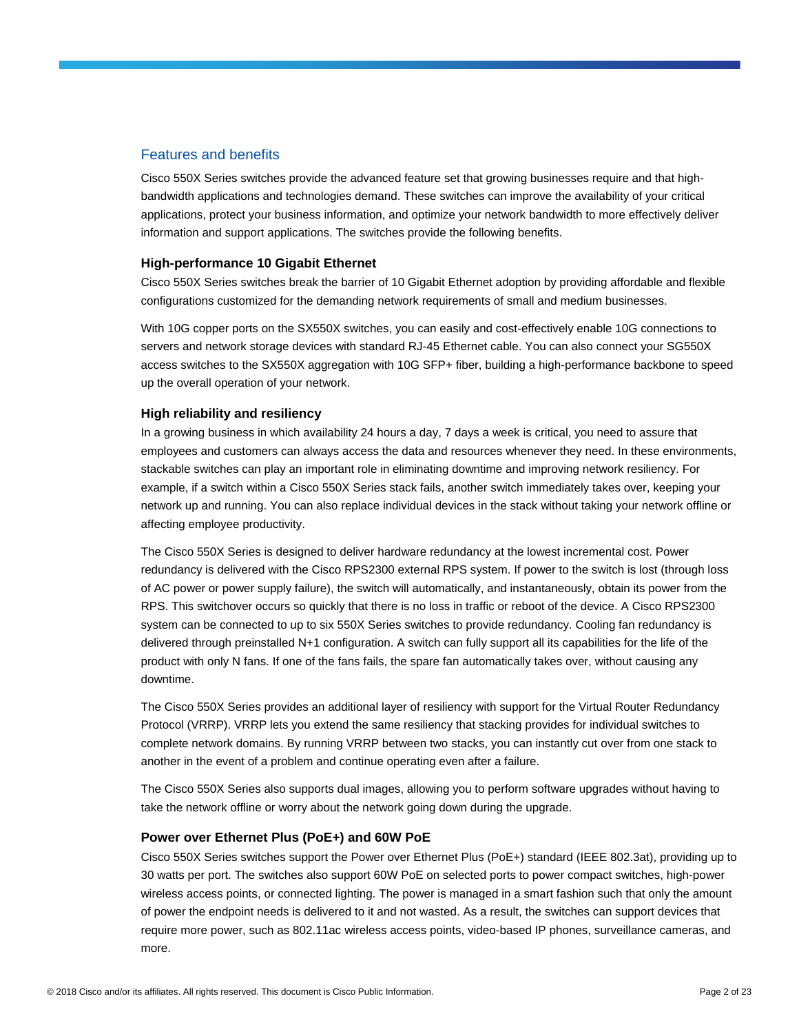# Features and benefits

Cisco 550X Series switches provide the advanced feature set that growing businesses require and that highbandwidth applications and technologies demand. These switches can improve the availability of your critical applications, protect your business information, and optimize your network bandwidth to more effectively deliver information and support applications. The switches provide the following benefits.

#### **High-performance 10 Gigabit Ethernet**

Cisco 550X Series switches break the barrier of 10 Gigabit Ethernet adoption by providing affordable and flexible configurations customized for the demanding network requirements of small and medium businesses.

With 10G copper ports on the SX550X switches, you can easily and cost-effectively enable 10G connections to servers and network storage devices with standard RJ-45 Ethernet cable. You can also connect your SG550X access switches to the SX550X aggregation with 10G SFP+ fiber, building a high-performance backbone to speed up the overall operation of your network.

## **High reliability and resiliency**

In a growing business in which availability 24 hours a day, 7 days a week is critical, you need to assure that employees and customers can always access the data and resources whenever they need. In these environments, stackable switches can play an important role in eliminating downtime and improving network resiliency. For example, if a switch within a Cisco 550X Series stack fails, another switch immediately takes over, keeping your network up and running. You can also replace individual devices in the stack without taking your network offline or affecting employee productivity.

The Cisco 550X Series is designed to deliver hardware redundancy at the lowest incremental cost. Power redundancy is delivered with the Cisco RPS2300 external RPS system. If power to the switch is lost (through loss of AC power or power supply failure), the switch will automatically, and instantaneously, obtain its power from the RPS. This switchover occurs so quickly that there is no loss in traffic or reboot of the device. A Cisco RPS2300 system can be connected to up to six 550X Series switches to provide redundancy. Cooling fan redundancy is delivered through preinstalled N+1 configuration. A switch can fully support all its capabilities for the life of the product with only N fans. If one of the fans fails, the spare fan automatically takes over, without causing any downtime.

The Cisco 550X Series provides an additional layer of resiliency with support for the Virtual Router Redundancy Protocol (VRRP). VRRP lets you extend the same resiliency that stacking provides for individual switches to complete network domains. By running VRRP between two stacks, you can instantly cut over from one stack to another in the event of a problem and continue operating even after a failure.

The Cisco 550X Series also supports dual images, allowing you to perform software upgrades without having to take the network offline or worry about the network going down during the upgrade.

#### **Power over Ethernet Plus (PoE+) and 60W PoE**

Cisco 550X Series switches support the Power over Ethernet Plus (PoE+) standard (IEEE 802.3at), providing up to 30 watts per port. The switches also support 60W PoE on selected ports to power compact switches, high-power wireless access points, or connected lighting. The power is managed in a smart fashion such that only the amount of power the endpoint needs is delivered to it and not wasted. As a result, the switches can support devices that require more power, such as 802.11ac wireless access points, video-based IP phones, surveillance cameras, and more.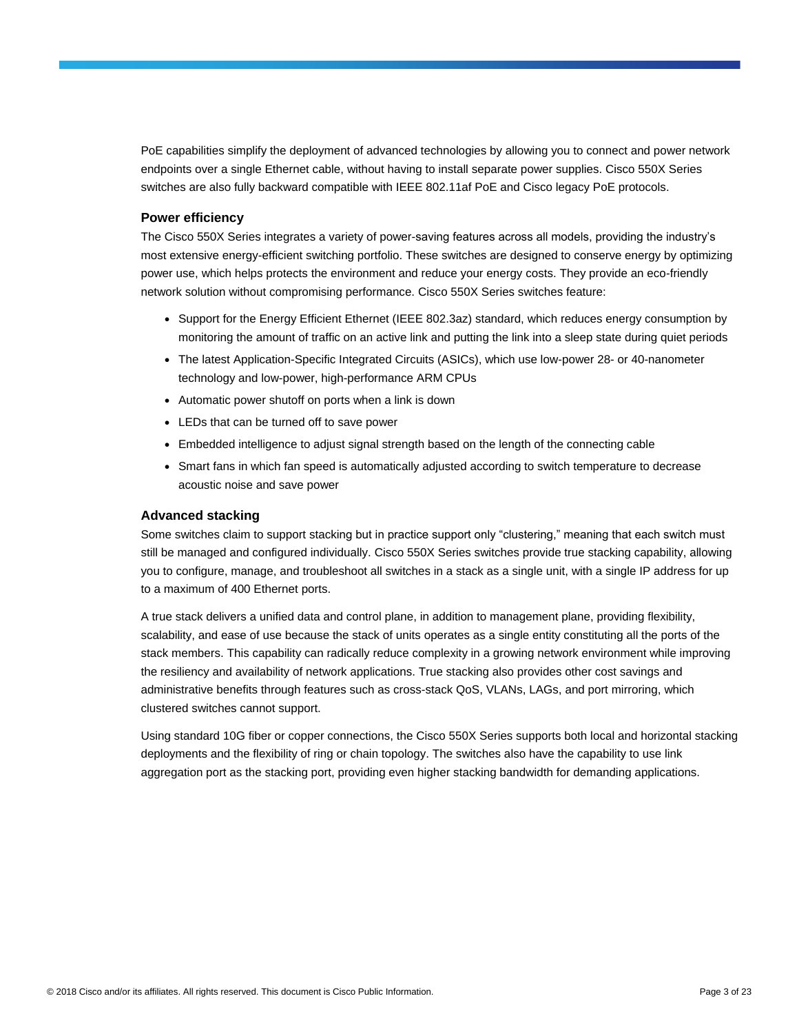PoE capabilities simplify the deployment of advanced technologies by allowing you to connect and power network endpoints over a single Ethernet cable, without having to install separate power supplies. Cisco 550X Series switches are also fully backward compatible with IEEE 802.11af PoE and Cisco legacy PoE protocols.

#### **Power efficiency**

The Cisco 550X Series integrates a variety of power-saving features across all models, providing the industry's most extensive energy-efficient switching portfolio. These switches are designed to conserve energy by optimizing power use, which helps protects the environment and reduce your energy costs. They provide an eco-friendly network solution without compromising performance. Cisco 550X Series switches feature:

- Support for the Energy Efficient Ethernet (IEEE 802.3az) standard, which reduces energy consumption by monitoring the amount of traffic on an active link and putting the link into a sleep state during quiet periods
- The latest Application-Specific Integrated Circuits (ASICs), which use low-power 28- or 40-nanometer technology and low-power, high-performance ARM CPUs
- Automatic power shutoff on ports when a link is down
- LEDs that can be turned off to save power
- Embedded intelligence to adjust signal strength based on the length of the connecting cable
- Smart fans in which fan speed is automatically adjusted according to switch temperature to decrease acoustic noise and save power

#### **Advanced stacking**

Some switches claim to support stacking but in practice support only "clustering," meaning that each switch must still be managed and configured individually. Cisco 550X Series switches provide true stacking capability, allowing you to configure, manage, and troubleshoot all switches in a stack as a single unit, with a single IP address for up to a maximum of 400 Ethernet ports.

A true stack delivers a unified data and control plane, in addition to management plane, providing flexibility, scalability, and ease of use because the stack of units operates as a single entity constituting all the ports of the stack members. This capability can radically reduce complexity in a growing network environment while improving the resiliency and availability of network applications. True stacking also provides other cost savings and administrative benefits through features such as cross-stack QoS, VLANs, LAGs, and port mirroring, which clustered switches cannot support.

Using standard 10G fiber or copper connections, the Cisco 550X Series supports both local and horizontal stacking deployments and the flexibility of ring or chain topology. The switches also have the capability to use link aggregation port as the stacking port, providing even higher stacking bandwidth for demanding applications.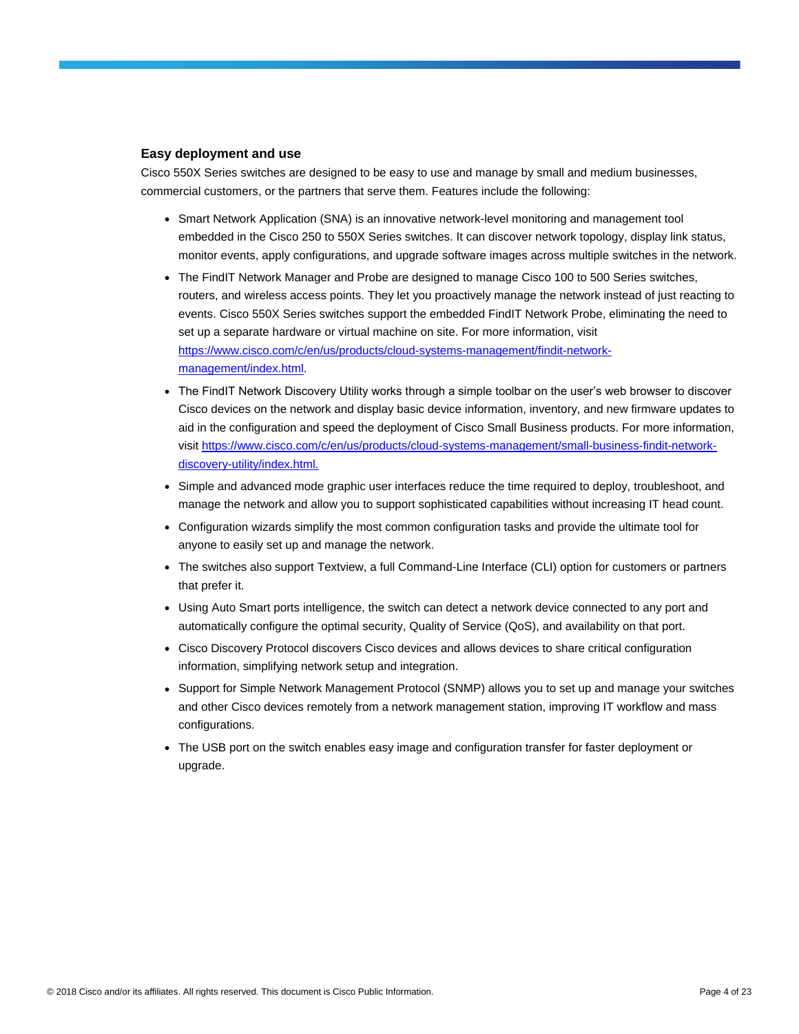#### **Easy deployment and use**

Cisco 550X Series switches are designed to be easy to use and manage by small and medium businesses, commercial customers, or the partners that serve them. Features include the following:

- Smart Network Application (SNA) is an innovative network-level monitoring and management tool embedded in the Cisco 250 to 550X Series switches. It can discover network topology, display link status, monitor events, apply configurations, and upgrade software images across multiple switches in the network.
- The FindIT Network Manager and Probe are designed to manage Cisco 100 to 500 Series switches, routers, and wireless access points. They let you proactively manage the network instead of just reacting to events. Cisco 550X Series switches support the embedded FindIT Network Probe, eliminating the need to set up a separate hardware or virtual machine on site. For more information, visit [https://www.cisco.com/c/en/us/products/cloud-systems-management/findit-network](https://www.cisco.com/c/en/us/products/cloud-systems-management/findit-network-management/index.html)[management/index.html.](https://www.cisco.com/c/en/us/products/cloud-systems-management/findit-network-management/index.html)
- The FindIT Network Discovery Utility works through a simple toolbar on the user's web browser to discover Cisco devices on the network and display basic device information, inventory, and new firmware updates to aid in the configuration and speed the deployment of Cisco Small Business products. For more information, visit https://www.cisco.com/c/en/us/products/cloud-systems-management/small-business-findit-networkdiscovery-utility/index.html.
- Simple and advanced mode graphic user interfaces reduce the time required to deploy, troubleshoot, and manage the network and allow you to support sophisticated capabilities without increasing IT head count.
- Configuration wizards simplify the most common configuration tasks and provide the ultimate tool for anyone to easily set up and manage the network.
- The switches also support Textview, a full Command-Line Interface (CLI) option for customers or partners that prefer it.
- Using Auto Smart ports intelligence, the switch can detect a network device connected to any port and automatically configure the optimal security, Quality of Service (QoS), and availability on that port.
- Cisco Discovery Protocol discovers Cisco devices and allows devices to share critical configuration information, simplifying network setup and integration.
- Support for Simple Network Management Protocol (SNMP) allows you to set up and manage your switches and other Cisco devices remotely from a network management station, improving IT workflow and mass configurations.
- The USB port on the switch enables easy image and configuration transfer for faster deployment or upgrade.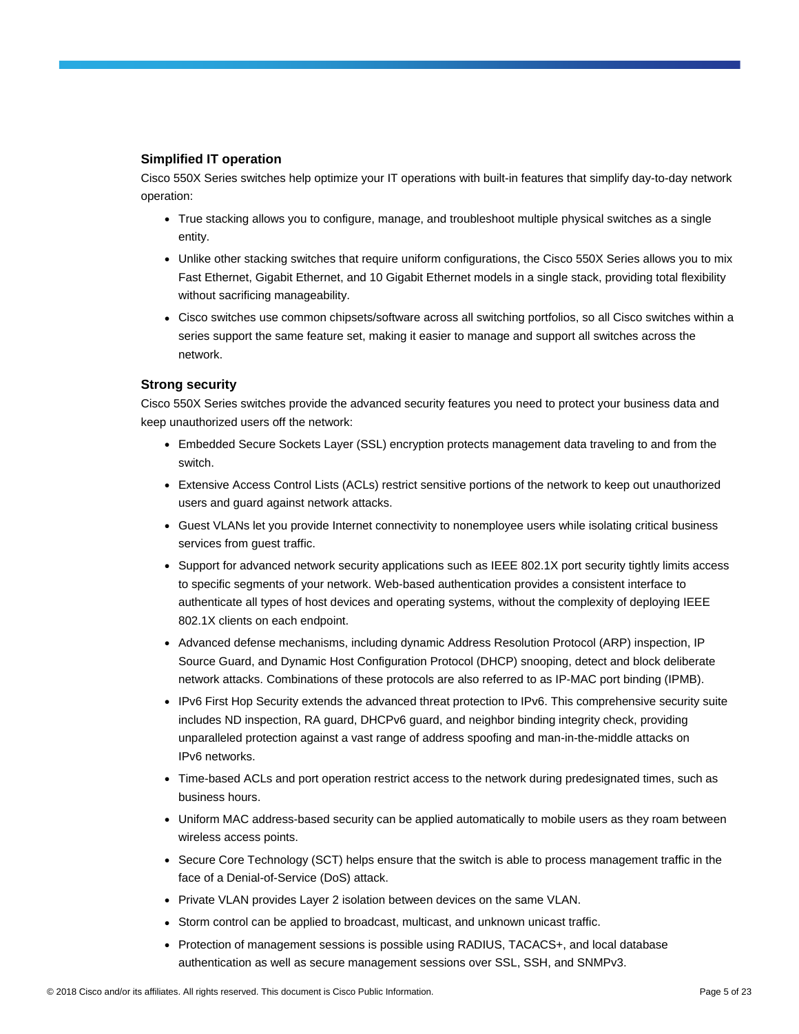## **Simplified IT operation**

Cisco 550X Series switches help optimize your IT operations with built-in features that simplify day-to-day network operation:

- True stacking allows you to configure, manage, and troubleshoot multiple physical switches as a single entity.
- Unlike other stacking switches that require uniform configurations, the Cisco 550X Series allows you to mix Fast Ethernet, Gigabit Ethernet, and 10 Gigabit Ethernet models in a single stack, providing total flexibility without sacrificing manageability.
- Cisco switches use common chipsets/software across all switching portfolios, so all Cisco switches within a series support the same feature set, making it easier to manage and support all switches across the network.

#### **Strong security**

Cisco 550X Series switches provide the advanced security features you need to protect your business data and keep unauthorized users off the network:

- Embedded Secure Sockets Layer (SSL) encryption protects management data traveling to and from the switch.
- Extensive Access Control Lists (ACLs) restrict sensitive portions of the network to keep out unauthorized users and guard against network attacks.
- Guest VLANs let you provide Internet connectivity to nonemployee users while isolating critical business services from guest traffic.
- Support for advanced network security applications such as IEEE 802.1X port security tightly limits access to specific segments of your network. Web-based authentication provides a consistent interface to authenticate all types of host devices and operating systems, without the complexity of deploying IEEE 802.1X clients on each endpoint.
- Advanced defense mechanisms, including dynamic Address Resolution Protocol (ARP) inspection, IP Source Guard, and Dynamic Host Configuration Protocol (DHCP) snooping, detect and block deliberate network attacks. Combinations of these protocols are also referred to as IP-MAC port binding (IPMB).
- IPv6 First Hop Security extends the advanced threat protection to IPv6. This comprehensive security suite includes ND inspection, RA guard, DHCPv6 guard, and neighbor binding integrity check, providing unparalleled protection against a vast range of address spoofing and man-in-the-middle attacks on IPv6 networks.
- Time-based ACLs and port operation restrict access to the network during predesignated times, such as business hours.
- Uniform MAC address-based security can be applied automatically to mobile users as they roam between wireless access points.
- Secure Core Technology (SCT) helps ensure that the switch is able to process management traffic in the face of a Denial-of-Service (DoS) attack.
- Private VLAN provides Layer 2 isolation between devices on the same VLAN.
- Storm control can be applied to broadcast, multicast, and unknown unicast traffic.
- Protection of management sessions is possible using RADIUS, TACACS+, and local database authentication as well as secure management sessions over SSL, SSH, and SNMPv3.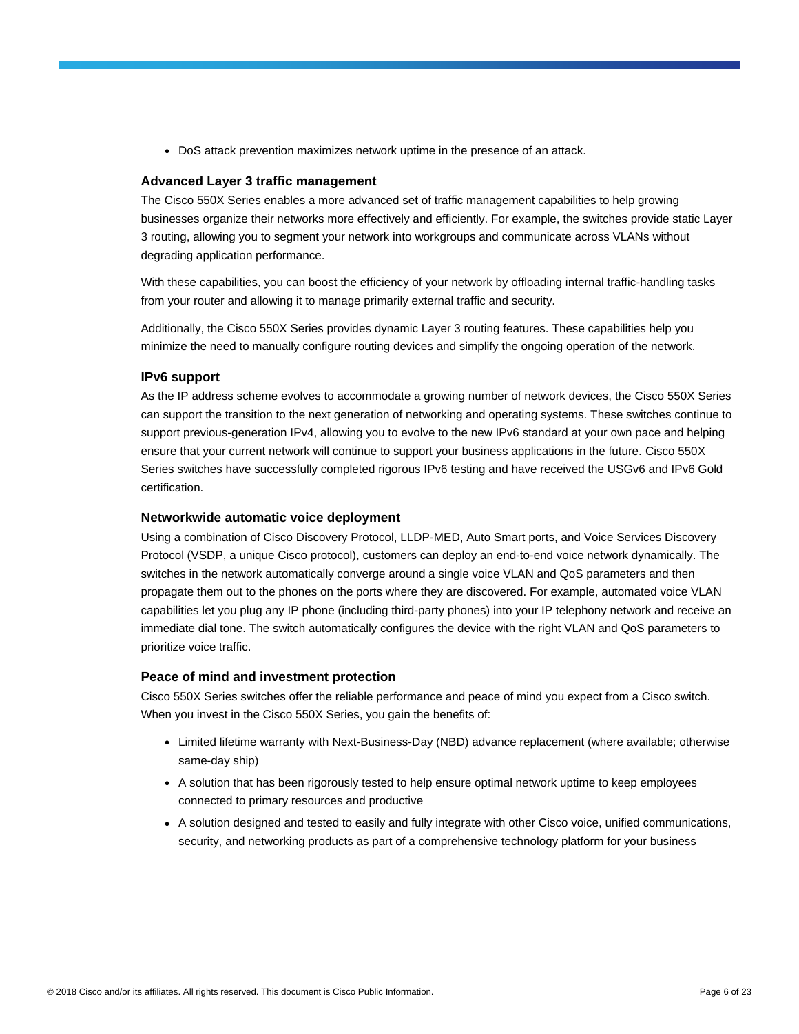• DoS attack prevention maximizes network uptime in the presence of an attack.

#### **Advanced Layer 3 traffic management**

The Cisco 550X Series enables a more advanced set of traffic management capabilities to help growing businesses organize their networks more effectively and efficiently. For example, the switches provide static Layer 3 routing, allowing you to segment your network into workgroups and communicate across VLANs without degrading application performance.

With these capabilities, you can boost the efficiency of your network by offloading internal traffic-handling tasks from your router and allowing it to manage primarily external traffic and security.

Additionally, the Cisco 550X Series provides dynamic Layer 3 routing features. These capabilities help you minimize the need to manually configure routing devices and simplify the ongoing operation of the network.

#### **IPv6 support**

As the IP address scheme evolves to accommodate a growing number of network devices, the Cisco 550X Series can support the transition to the next generation of networking and operating systems. These switches continue to support previous-generation IPv4, allowing you to evolve to the new IPv6 standard at your own pace and helping ensure that your current network will continue to support your business applications in the future. Cisco 550X Series switches have successfully completed rigorous IPv6 testing and have received the USGv6 and IPv6 Gold certification.

#### **Networkwide automatic voice deployment**

Using a combination of Cisco Discovery Protocol, LLDP-MED, Auto Smart ports, and Voice Services Discovery Protocol (VSDP, a unique Cisco protocol), customers can deploy an end-to-end voice network dynamically. The switches in the network automatically converge around a single voice VLAN and QoS parameters and then propagate them out to the phones on the ports where they are discovered. For example, automated voice VLAN capabilities let you plug any IP phone (including third-party phones) into your IP telephony network and receive an immediate dial tone. The switch automatically configures the device with the right VLAN and QoS parameters to prioritize voice traffic.

#### **Peace of mind and investment protection**

Cisco 550X Series switches offer the reliable performance and peace of mind you expect from a Cisco switch. When you invest in the Cisco 550X Series, you gain the benefits of:

- Limited lifetime warranty with Next-Business-Day (NBD) advance replacement (where available; otherwise same-day ship)
- A solution that has been rigorously tested to help ensure optimal network uptime to keep employees connected to primary resources and productive
- A solution designed and tested to easily and fully integrate with other Cisco voice, unified communications, security, and networking products as part of a comprehensive technology platform for your business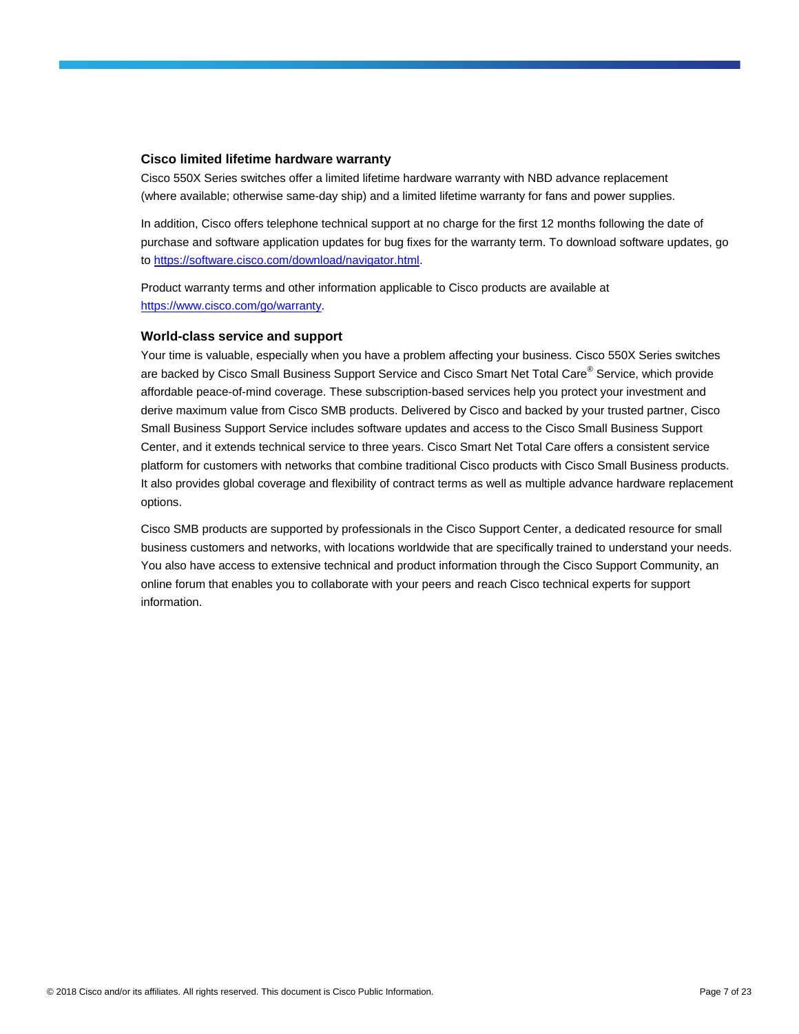#### **Cisco limited lifetime hardware warranty**

Cisco 550X Series switches offer a limited lifetime hardware warranty with NBD advance replacement (where available; otherwise same-day ship) and a limited lifetime warranty for fans and power supplies.

In addition, Cisco offers telephone technical support at no charge for the first 12 months following the date of purchase and software application updates for bug fixes for the warranty term. To download software updates, go to [https://software.cisco.com/download/navigator.html.](https://software.cisco.com/download/navigator.html)

Product warranty terms and other information applicable to Cisco products are available at [https://www.cisco.com/go/warranty.](https://www.cisco.com/go/warranty)

#### **World-class service and support**

Your time is valuable, especially when you have a problem affecting your business. Cisco 550X Series switches are backed by Cisco Small Business Support Service and Cisco Smart Net Total Care<sup>®</sup> Service, which provide affordable peace-of-mind coverage. These subscription-based services help you protect your investment and derive maximum value from Cisco SMB products. Delivered by Cisco and backed by your trusted partner, Cisco Small Business Support Service includes software updates and access to the Cisco Small Business Support Center, and it extends technical service to three years. Cisco Smart Net Total Care offers a consistent service platform for customers with networks that combine traditional Cisco products with Cisco Small Business products. It also provides global coverage and flexibility of contract terms as well as multiple advance hardware replacement options.

Cisco SMB products are supported by professionals in the Cisco Support Center, a dedicated resource for small business customers and networks, with locations worldwide that are specifically trained to understand your needs. You also have access to extensive technical and product information through the Cisco Support Community, an online forum that enables you to collaborate with your peers and reach Cisco technical experts for support information.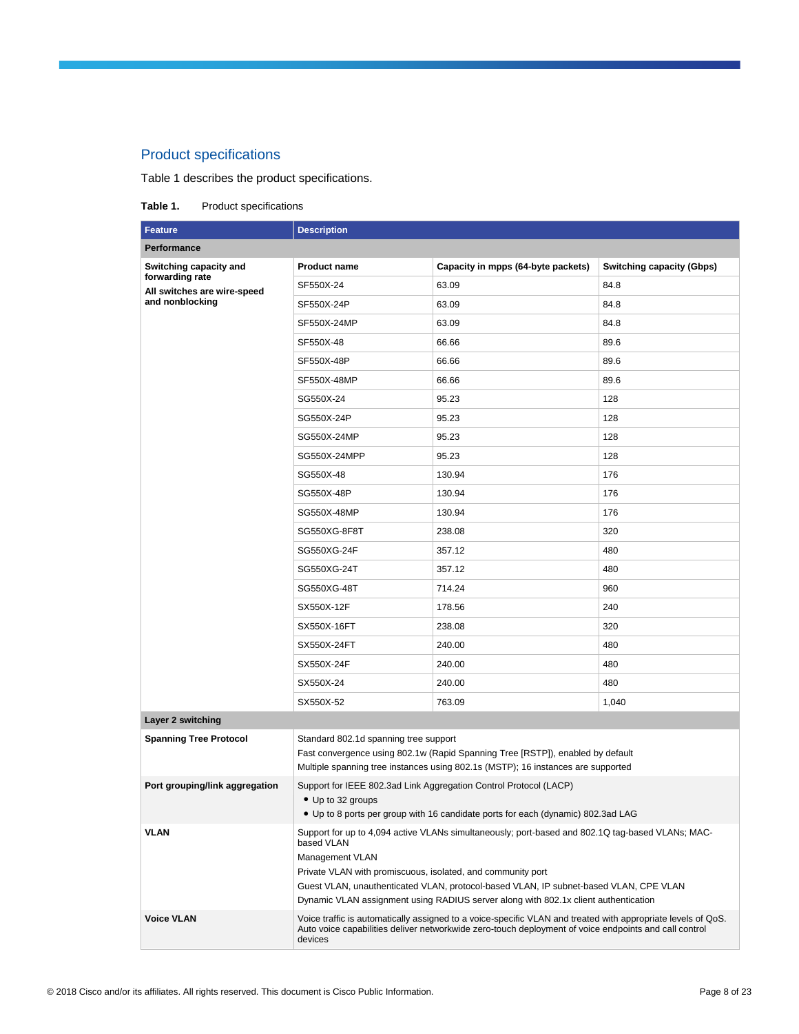# Product specifications

Table 1 describes the product specifications.

#### Table 1. Product specifications

| <b>Feature</b>                                 | <b>Description</b>                                                                                                                                                 |                                                                                                                                                                                                                       |                                  |  |
|------------------------------------------------|--------------------------------------------------------------------------------------------------------------------------------------------------------------------|-----------------------------------------------------------------------------------------------------------------------------------------------------------------------------------------------------------------------|----------------------------------|--|
| Performance                                    |                                                                                                                                                                    |                                                                                                                                                                                                                       |                                  |  |
| Switching capacity and                         | <b>Product name</b>                                                                                                                                                | Capacity in mpps (64-byte packets)                                                                                                                                                                                    | <b>Switching capacity (Gbps)</b> |  |
| forwarding rate<br>All switches are wire-speed | SF550X-24                                                                                                                                                          | 63.09                                                                                                                                                                                                                 | 84.8                             |  |
| and nonblocking                                | SF550X-24P                                                                                                                                                         | 63.09                                                                                                                                                                                                                 | 84.8                             |  |
|                                                | SF550X-24MP                                                                                                                                                        | 63.09                                                                                                                                                                                                                 | 84.8                             |  |
|                                                | SF550X-48                                                                                                                                                          | 66.66                                                                                                                                                                                                                 | 89.6                             |  |
|                                                | SF550X-48P                                                                                                                                                         | 66.66                                                                                                                                                                                                                 | 89.6                             |  |
|                                                | SF550X-48MP                                                                                                                                                        | 66.66                                                                                                                                                                                                                 | 89.6                             |  |
|                                                | SG550X-24                                                                                                                                                          | 95.23                                                                                                                                                                                                                 | 128                              |  |
|                                                | SG550X-24P                                                                                                                                                         | 95.23                                                                                                                                                                                                                 | 128                              |  |
|                                                | SG550X-24MP                                                                                                                                                        | 95.23                                                                                                                                                                                                                 | 128                              |  |
|                                                | SG550X-24MPP                                                                                                                                                       | 95.23                                                                                                                                                                                                                 | 128                              |  |
|                                                | SG550X-48                                                                                                                                                          | 130.94                                                                                                                                                                                                                | 176                              |  |
|                                                | SG550X-48P                                                                                                                                                         | 130.94                                                                                                                                                                                                                | 176                              |  |
|                                                | SG550X-48MP                                                                                                                                                        | 130.94                                                                                                                                                                                                                | 176                              |  |
|                                                | SG550XG-8F8T                                                                                                                                                       | 238.08                                                                                                                                                                                                                | 320                              |  |
|                                                | SG550XG-24F                                                                                                                                                        | 357.12                                                                                                                                                                                                                | 480                              |  |
|                                                | SG550XG-24T                                                                                                                                                        | 357.12                                                                                                                                                                                                                | 480                              |  |
|                                                | SG550XG-48T                                                                                                                                                        | 714.24                                                                                                                                                                                                                | 960                              |  |
|                                                | SX550X-12F                                                                                                                                                         | 178.56                                                                                                                                                                                                                | 240                              |  |
|                                                | SX550X-16FT                                                                                                                                                        | 238.08                                                                                                                                                                                                                | 320                              |  |
|                                                | SX550X-24FT                                                                                                                                                        | 240.00                                                                                                                                                                                                                | 480                              |  |
|                                                | SX550X-24F                                                                                                                                                         | 240.00                                                                                                                                                                                                                | 480                              |  |
|                                                | SX550X-24                                                                                                                                                          | 240.00                                                                                                                                                                                                                | 480                              |  |
|                                                | SX550X-52                                                                                                                                                          | 763.09                                                                                                                                                                                                                | 1,040                            |  |
| Layer 2 switching                              |                                                                                                                                                                    |                                                                                                                                                                                                                       |                                  |  |
| <b>Spanning Tree Protocol</b>                  | Standard 802.1d spanning tree support                                                                                                                              |                                                                                                                                                                                                                       |                                  |  |
|                                                | Fast convergence using 802.1w (Rapid Spanning Tree [RSTP]), enabled by default<br>Multiple spanning tree instances using 802.1s (MSTP); 16 instances are supported |                                                                                                                                                                                                                       |                                  |  |
| Port grouping/link aggregation                 |                                                                                                                                                                    |                                                                                                                                                                                                                       |                                  |  |
|                                                | Support for IEEE 802.3ad Link Aggregation Control Protocol (LACP)<br>• Up to 32 groups                                                                             |                                                                                                                                                                                                                       |                                  |  |
|                                                | • Up to 8 ports per group with 16 candidate ports for each (dynamic) 802.3ad LAG                                                                                   |                                                                                                                                                                                                                       |                                  |  |
| <b>VLAN</b>                                    |                                                                                                                                                                    | Support for up to 4,094 active VLANs simultaneously; port-based and 802.1Q tag-based VLANs; MAC-                                                                                                                      |                                  |  |
|                                                | based VLAN<br>Management VLAN                                                                                                                                      |                                                                                                                                                                                                                       |                                  |  |
|                                                | Private VLAN with promiscuous, isolated, and community port                                                                                                        |                                                                                                                                                                                                                       |                                  |  |
|                                                |                                                                                                                                                                    | Guest VLAN, unauthenticated VLAN, protocol-based VLAN, IP subnet-based VLAN, CPE VLAN                                                                                                                                 |                                  |  |
|                                                |                                                                                                                                                                    | Dynamic VLAN assignment using RADIUS server along with 802.1x client authentication                                                                                                                                   |                                  |  |
| <b>Voice VLAN</b>                              | devices                                                                                                                                                            | Voice traffic is automatically assigned to a voice-specific VLAN and treated with appropriate levels of QoS.<br>Auto voice capabilities deliver networkwide zero-touch deployment of voice endpoints and call control |                                  |  |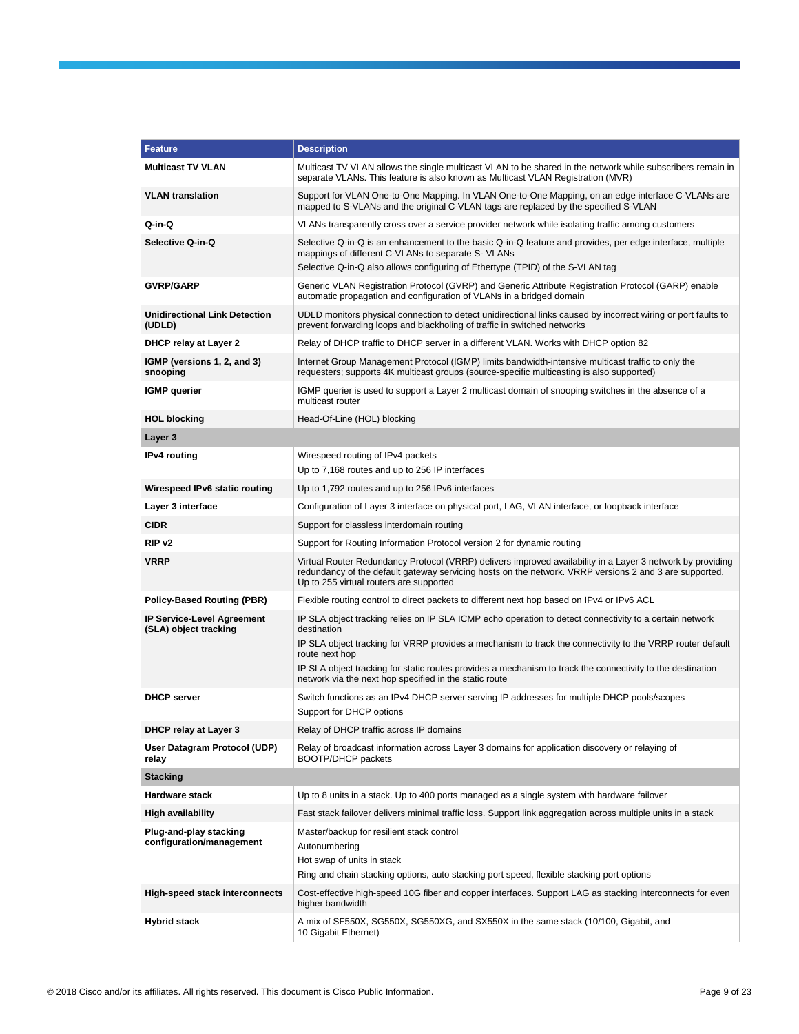| <b>Feature</b>                                            | <b>Description</b>                                                                                                                                                                                                                                              |
|-----------------------------------------------------------|-----------------------------------------------------------------------------------------------------------------------------------------------------------------------------------------------------------------------------------------------------------------|
| <b>Multicast TV VLAN</b>                                  | Multicast TV VLAN allows the single multicast VLAN to be shared in the network while subscribers remain in<br>separate VLANs. This feature is also known as Multicast VLAN Registration (MVR)                                                                   |
| <b>VLAN</b> translation                                   | Support for VLAN One-to-One Mapping. In VLAN One-to-One Mapping, on an edge interface C-VLANs are<br>mapped to S-VLANs and the original C-VLAN tags are replaced by the specified S-VLAN                                                                        |
| Q-in-Q                                                    | VLANs transparently cross over a service provider network while isolating traffic among customers                                                                                                                                                               |
| Selective Q-in-Q                                          | Selective Q-in-Q is an enhancement to the basic Q-in-Q feature and provides, per edge interface, multiple<br>mappings of different C-VLANs to separate S- VLANs                                                                                                 |
|                                                           | Selective Q-in-Q also allows configuring of Ethertype (TPID) of the S-VLAN tag                                                                                                                                                                                  |
| <b>GVRP/GARP</b>                                          | Generic VLAN Registration Protocol (GVRP) and Generic Attribute Registration Protocol (GARP) enable<br>automatic propagation and configuration of VLANs in a bridged domain                                                                                     |
| <b>Unidirectional Link Detection</b><br>(UDLD)            | UDLD monitors physical connection to detect unidirectional links caused by incorrect wiring or port faults to<br>prevent forwarding loops and blackholing of traffic in switched networks                                                                       |
| DHCP relay at Layer 2                                     | Relay of DHCP traffic to DHCP server in a different VLAN. Works with DHCP option 82                                                                                                                                                                             |
| IGMP (versions 1, 2, and 3)<br>snooping                   | Internet Group Management Protocol (IGMP) limits bandwidth-intensive multicast traffic to only the<br>requesters; supports 4K multicast groups (source-specific multicasting is also supported)                                                                 |
| <b>IGMP</b> querier                                       | IGMP querier is used to support a Layer 2 multicast domain of snooping switches in the absence of a<br>multicast router                                                                                                                                         |
| <b>HOL blocking</b>                                       | Head-Of-Line (HOL) blocking                                                                                                                                                                                                                                     |
| Layer 3                                                   |                                                                                                                                                                                                                                                                 |
| <b>IPv4</b> routing                                       | Wirespeed routing of IPv4 packets                                                                                                                                                                                                                               |
|                                                           | Up to 7,168 routes and up to 256 IP interfaces                                                                                                                                                                                                                  |
| Wirespeed IPv6 static routing                             | Up to 1,792 routes and up to 256 IPv6 interfaces                                                                                                                                                                                                                |
| Layer 3 interface                                         | Configuration of Layer 3 interface on physical port, LAG, VLAN interface, or loopback interface                                                                                                                                                                 |
| <b>CIDR</b>                                               | Support for classless interdomain routing                                                                                                                                                                                                                       |
| RIP <sub>v2</sub>                                         | Support for Routing Information Protocol version 2 for dynamic routing                                                                                                                                                                                          |
| <b>VRRP</b>                                               | Virtual Router Redundancy Protocol (VRRP) delivers improved availability in a Layer 3 network by providing<br>redundancy of the default gateway servicing hosts on the network. VRRP versions 2 and 3 are supported.<br>Up to 255 virtual routers are supported |
| <b>Policy-Based Routing (PBR)</b>                         | Flexible routing control to direct packets to different next hop based on IPv4 or IPv6 ACL                                                                                                                                                                      |
| IP Service-Level Agreement<br>(SLA) object tracking       | IP SLA object tracking relies on IP SLA ICMP echo operation to detect connectivity to a certain network<br>destination<br>IP SLA object tracking for VRRP provides a mechanism to track the connectivity to the VRRP router default                             |
|                                                           | route next hop<br>IP SLA object tracking for static routes provides a mechanism to track the connectivity to the destination                                                                                                                                    |
|                                                           | network via the next hop specified in the static route                                                                                                                                                                                                          |
| <b>DHCP</b> server                                        | Switch functions as an IPv4 DHCP server serving IP addresses for multiple DHCP pools/scopes<br>Support for DHCP options                                                                                                                                         |
| DHCP relay at Layer 3                                     | Relay of DHCP traffic across IP domains                                                                                                                                                                                                                         |
| User Datagram Protocol (UDP)<br>relay                     | Relay of broadcast information across Layer 3 domains for application discovery or relaying of<br><b>BOOTP/DHCP</b> packets                                                                                                                                     |
| <b>Stacking</b>                                           |                                                                                                                                                                                                                                                                 |
| Hardware stack                                            | Up to 8 units in a stack. Up to 400 ports managed as a single system with hardware failover                                                                                                                                                                     |
| <b>High availability</b>                                  | Fast stack failover delivers minimal traffic loss. Support link aggregation across multiple units in a stack                                                                                                                                                    |
| <b>Plug-and-play stacking</b><br>configuration/management | Master/backup for resilient stack control<br>Autonumbering<br>Hot swap of units in stack<br>Ring and chain stacking options, auto stacking port speed, flexible stacking port options                                                                           |
| High-speed stack interconnects                            | Cost-effective high-speed 10G fiber and copper interfaces. Support LAG as stacking interconnects for even<br>higher bandwidth                                                                                                                                   |
| <b>Hybrid stack</b>                                       | A mix of SF550X, SG550X, SG550XG, and SX550X in the same stack (10/100, Gigabit, and<br>10 Gigabit Ethernet)                                                                                                                                                    |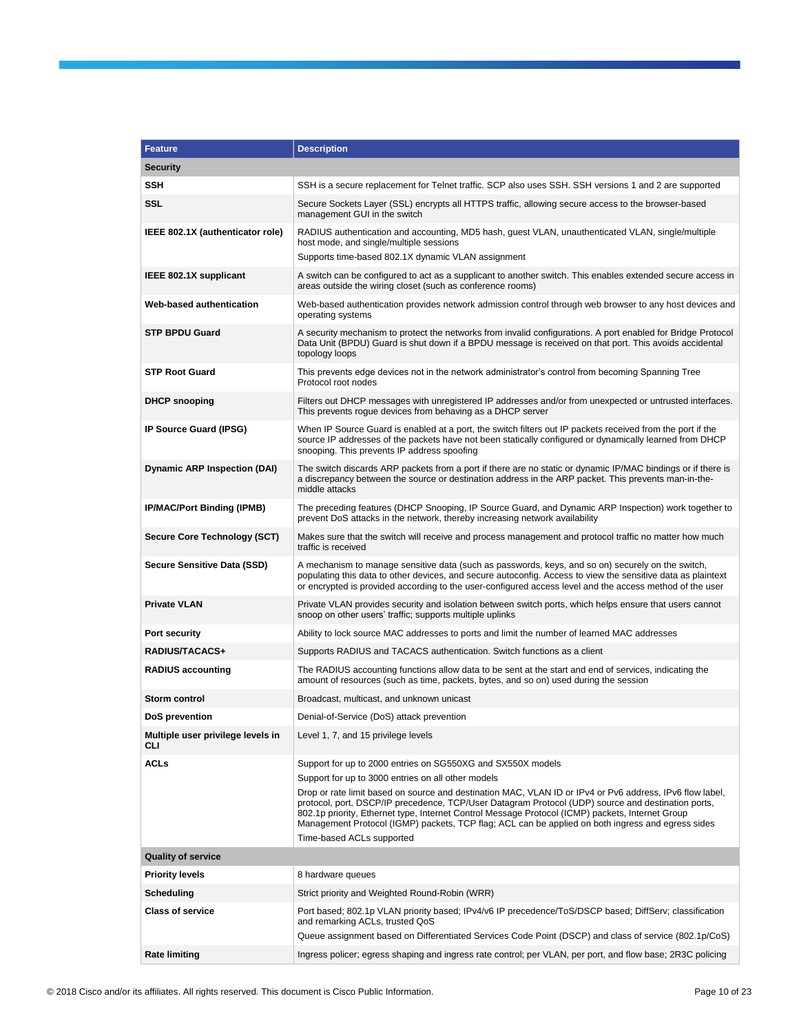| <b>Feature</b>                           | <b>Description</b>                                                                                                                                                                                                                                                                                                                                                                                                                                                                                                                                                        |
|------------------------------------------|---------------------------------------------------------------------------------------------------------------------------------------------------------------------------------------------------------------------------------------------------------------------------------------------------------------------------------------------------------------------------------------------------------------------------------------------------------------------------------------------------------------------------------------------------------------------------|
| <b>Security</b>                          |                                                                                                                                                                                                                                                                                                                                                                                                                                                                                                                                                                           |
| <b>SSH</b>                               | SSH is a secure replacement for Telnet traffic. SCP also uses SSH. SSH versions 1 and 2 are supported                                                                                                                                                                                                                                                                                                                                                                                                                                                                     |
| <b>SSL</b>                               | Secure Sockets Layer (SSL) encrypts all HTTPS traffic, allowing secure access to the browser-based<br>management GUI in the switch                                                                                                                                                                                                                                                                                                                                                                                                                                        |
| IEEE 802.1X (authenticator role)         | RADIUS authentication and accounting, MD5 hash, guest VLAN, unauthenticated VLAN, single/multiple<br>host mode, and single/multiple sessions<br>Supports time-based 802.1X dynamic VLAN assignment                                                                                                                                                                                                                                                                                                                                                                        |
| IEEE 802.1X supplicant                   | A switch can be configured to act as a supplicant to another switch. This enables extended secure access in<br>areas outside the wiring closet (such as conference rooms)                                                                                                                                                                                                                                                                                                                                                                                                 |
| Web-based authentication                 | Web-based authentication provides network admission control through web browser to any host devices and<br>operating systems                                                                                                                                                                                                                                                                                                                                                                                                                                              |
| <b>STP BPDU Guard</b>                    | A security mechanism to protect the networks from invalid configurations. A port enabled for Bridge Protocol<br>Data Unit (BPDU) Guard is shut down if a BPDU message is received on that port. This avoids accidental<br>topology loops                                                                                                                                                                                                                                                                                                                                  |
| <b>STP Root Guard</b>                    | This prevents edge devices not in the network administrator's control from becoming Spanning Tree<br>Protocol root nodes                                                                                                                                                                                                                                                                                                                                                                                                                                                  |
| <b>DHCP</b> snooping                     | Filters out DHCP messages with unregistered IP addresses and/or from unexpected or untrusted interfaces.<br>This prevents rogue devices from behaving as a DHCP server                                                                                                                                                                                                                                                                                                                                                                                                    |
| IP Source Guard (IPSG)                   | When IP Source Guard is enabled at a port, the switch filters out IP packets received from the port if the<br>source IP addresses of the packets have not been statically configured or dynamically learned from DHCP<br>snooping. This prevents IP address spoofing                                                                                                                                                                                                                                                                                                      |
| <b>Dynamic ARP Inspection (DAI)</b>      | The switch discards ARP packets from a port if there are no static or dynamic IP/MAC bindings or if there is<br>a discrepancy between the source or destination address in the ARP packet. This prevents man-in-the-<br>middle attacks                                                                                                                                                                                                                                                                                                                                    |
| IP/MAC/Port Binding (IPMB)               | The preceding features (DHCP Snooping, IP Source Guard, and Dynamic ARP Inspection) work together to<br>prevent DoS attacks in the network, thereby increasing network availability                                                                                                                                                                                                                                                                                                                                                                                       |
| Secure Core Technology (SCT)             | Makes sure that the switch will receive and process management and protocol traffic no matter how much<br>traffic is received                                                                                                                                                                                                                                                                                                                                                                                                                                             |
| Secure Sensitive Data (SSD)              | A mechanism to manage sensitive data (such as passwords, keys, and so on) securely on the switch,<br>populating this data to other devices, and secure autoconfig. Access to view the sensitive data as plaintext<br>or encrypted is provided according to the user-configured access level and the access method of the user                                                                                                                                                                                                                                             |
| <b>Private VLAN</b>                      | Private VLAN provides security and isolation between switch ports, which helps ensure that users cannot<br>snoop on other users' traffic; supports multiple uplinks                                                                                                                                                                                                                                                                                                                                                                                                       |
| Port security                            | Ability to lock source MAC addresses to ports and limit the number of learned MAC addresses                                                                                                                                                                                                                                                                                                                                                                                                                                                                               |
| RADIUS/TACACS+                           | Supports RADIUS and TACACS authentication. Switch functions as a client                                                                                                                                                                                                                                                                                                                                                                                                                                                                                                   |
| <b>RADIUS accounting</b>                 | The RADIUS accounting functions allow data to be sent at the start and end of services, indicating the<br>amount of resources (such as time, packets, bytes, and so on) used during the session                                                                                                                                                                                                                                                                                                                                                                           |
| Storm control                            | Broadcast, multicast, and unknown unicast                                                                                                                                                                                                                                                                                                                                                                                                                                                                                                                                 |
| DoS prevention                           | Denial-of-Service (DoS) attack prevention                                                                                                                                                                                                                                                                                                                                                                                                                                                                                                                                 |
| Multiple user privilege levels in<br>CLI | Level 1, 7, and 15 privilege levels                                                                                                                                                                                                                                                                                                                                                                                                                                                                                                                                       |
| <b>ACLs</b>                              | Support for up to 2000 entries on SG550XG and SX550X models<br>Support for up to 3000 entries on all other models<br>Drop or rate limit based on source and destination MAC, VLAN ID or IPv4 or Pv6 address, IPv6 flow label,<br>protocol, port, DSCP/IP precedence, TCP/User Datagram Protocol (UDP) source and destination ports,<br>802.1p priority, Ethernet type, Internet Control Message Protocol (ICMP) packets, Internet Group<br>Management Protocol (IGMP) packets, TCP flag; ACL can be applied on both ingress and egress sides<br>Time-based ACLs supported |
| <b>Quality of service</b>                |                                                                                                                                                                                                                                                                                                                                                                                                                                                                                                                                                                           |
| <b>Priority levels</b>                   | 8 hardware queues                                                                                                                                                                                                                                                                                                                                                                                                                                                                                                                                                         |
| Scheduling                               | Strict priority and Weighted Round-Robin (WRR)                                                                                                                                                                                                                                                                                                                                                                                                                                                                                                                            |
| <b>Class of service</b>                  | Port based; 802.1p VLAN priority based; IPv4/v6 IP precedence/ToS/DSCP based; DiffServ; classification<br>and remarking ACLs, trusted QoS<br>Queue assignment based on Differentiated Services Code Point (DSCP) and class of service (802.1p/CoS)                                                                                                                                                                                                                                                                                                                        |
| <b>Rate limiting</b>                     | Ingress policer; egress shaping and ingress rate control; per VLAN, per port, and flow base; 2R3C policing                                                                                                                                                                                                                                                                                                                                                                                                                                                                |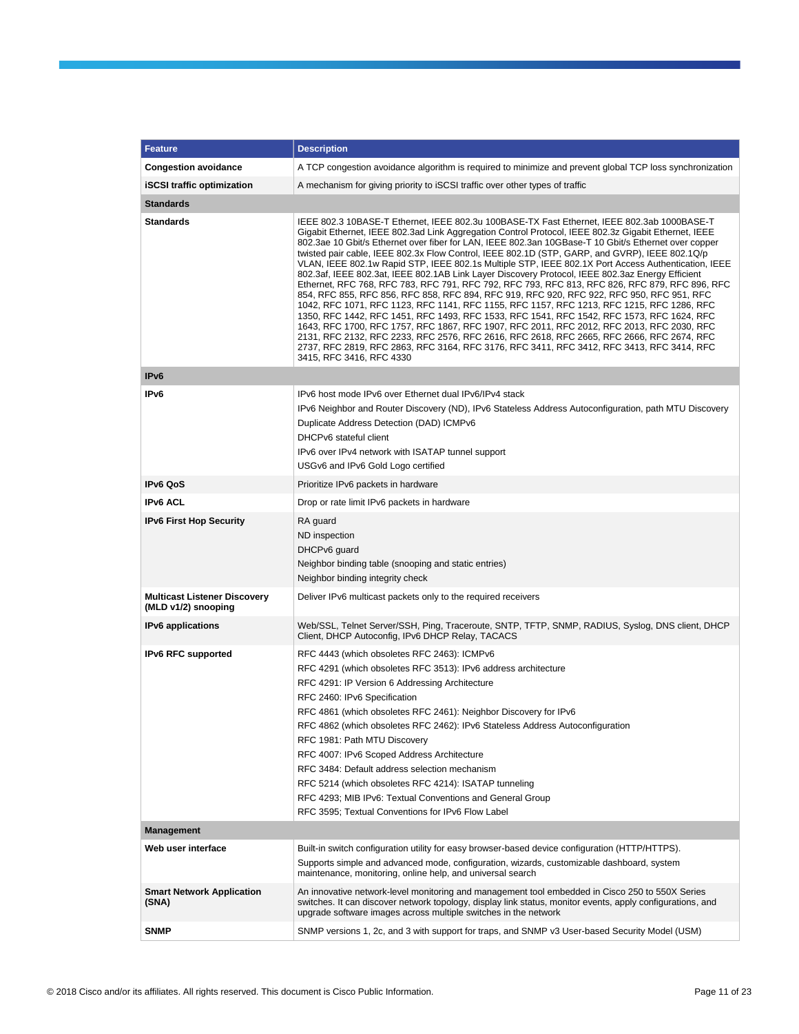| <b>Feature</b>                                             | <b>Description</b>                                                                                                                                                                                                                                                                                                                                                                                                                                                                                                                                                                                                                                                                                                                                                                                                                                                                                                                                                                                                                                                                                                                                                                                                                                                                                                                   |
|------------------------------------------------------------|--------------------------------------------------------------------------------------------------------------------------------------------------------------------------------------------------------------------------------------------------------------------------------------------------------------------------------------------------------------------------------------------------------------------------------------------------------------------------------------------------------------------------------------------------------------------------------------------------------------------------------------------------------------------------------------------------------------------------------------------------------------------------------------------------------------------------------------------------------------------------------------------------------------------------------------------------------------------------------------------------------------------------------------------------------------------------------------------------------------------------------------------------------------------------------------------------------------------------------------------------------------------------------------------------------------------------------------|
|                                                            |                                                                                                                                                                                                                                                                                                                                                                                                                                                                                                                                                                                                                                                                                                                                                                                                                                                                                                                                                                                                                                                                                                                                                                                                                                                                                                                                      |
| <b>Congestion avoidance</b>                                | A TCP congestion avoidance algorithm is required to minimize and prevent global TCP loss synchronization                                                                                                                                                                                                                                                                                                                                                                                                                                                                                                                                                                                                                                                                                                                                                                                                                                                                                                                                                                                                                                                                                                                                                                                                                             |
| <b>iSCSI</b> traffic optimization                          | A mechanism for giving priority to iSCSI traffic over other types of traffic                                                                                                                                                                                                                                                                                                                                                                                                                                                                                                                                                                                                                                                                                                                                                                                                                                                                                                                                                                                                                                                                                                                                                                                                                                                         |
| <b>Standards</b>                                           |                                                                                                                                                                                                                                                                                                                                                                                                                                                                                                                                                                                                                                                                                                                                                                                                                                                                                                                                                                                                                                                                                                                                                                                                                                                                                                                                      |
| <b>Standards</b>                                           | IEEE 802.3 10BASE-T Ethernet, IEEE 802.3u 100BASE-TX Fast Ethernet, IEEE 802.3ab 1000BASE-T<br>Gigabit Ethernet, IEEE 802.3ad Link Aggregation Control Protocol, IEEE 802.3z Gigabit Ethernet, IEEE<br>802.3ae 10 Gbit/s Ethernet over fiber for LAN, IEEE 802.3an 10GBase-T 10 Gbit/s Ethernet over copper<br>twisted pair cable, IEEE 802.3x Flow Control, IEEE 802.1D (STP, GARP, and GVRP), IEEE 802.1Q/p<br>VLAN, IEEE 802.1w Rapid STP, IEEE 802.1s Multiple STP, IEEE 802.1X Port Access Authentication, IEEE<br>802.3af, IEEE 802.3at, IEEE 802.1AB Link Layer Discovery Protocol, IEEE 802.3az Energy Efficient<br>Ethernet, RFC 768, RFC 783, RFC 791, RFC 792, RFC 793, RFC 813, RFC 826, RFC 879, RFC 896, RFC<br>854, RFC 855, RFC 856, RFC 858, RFC 894, RFC 919, RFC 920, RFC 922, RFC 950, RFC 951, RFC<br>1042, RFC 1071, RFC 1123, RFC 1141, RFC 1155, RFC 1157, RFC 1213, RFC 1215, RFC 1286, RFC<br>1350, RFC 1442, RFC 1451, RFC 1493, RFC 1533, RFC 1541, RFC 1542, RFC 1573, RFC 1624, RFC<br>1643, RFC 1700, RFC 1757, RFC 1867, RFC 1907, RFC 2011, RFC 2012, RFC 2013, RFC 2030, RFC<br>2131, RFC 2132, RFC 2233, RFC 2576, RFC 2616, RFC 2618, RFC 2665, RFC 2666, RFC 2674, RFC<br>2737, RFC 2819, RFC 2863, RFC 3164, RFC 3176, RFC 3411, RFC 3412, RFC 3413, RFC 3414, RFC<br>3415, RFC 3416, RFC 4330 |
| IP <sub>v6</sub>                                           |                                                                                                                                                                                                                                                                                                                                                                                                                                                                                                                                                                                                                                                                                                                                                                                                                                                                                                                                                                                                                                                                                                                                                                                                                                                                                                                                      |
| IP <sub>v6</sub>                                           | IPv6 host mode IPv6 over Ethernet dual IPv6/IPv4 stack<br>IPv6 Neighbor and Router Discovery (ND), IPv6 Stateless Address Autoconfiguration, path MTU Discovery<br>Duplicate Address Detection (DAD) ICMPv6<br>DHCPv6 stateful client<br>IPv6 over IPv4 network with ISATAP tunnel support<br>USGv6 and IPv6 Gold Logo certified                                                                                                                                                                                                                                                                                                                                                                                                                                                                                                                                                                                                                                                                                                                                                                                                                                                                                                                                                                                                     |
| <b>IPv6 QoS</b>                                            | Prioritize IPv6 packets in hardware                                                                                                                                                                                                                                                                                                                                                                                                                                                                                                                                                                                                                                                                                                                                                                                                                                                                                                                                                                                                                                                                                                                                                                                                                                                                                                  |
| <b>IPv6 ACL</b>                                            | Drop or rate limit IPv6 packets in hardware                                                                                                                                                                                                                                                                                                                                                                                                                                                                                                                                                                                                                                                                                                                                                                                                                                                                                                                                                                                                                                                                                                                                                                                                                                                                                          |
| <b>IPv6 First Hop Security</b>                             | RA guard<br>ND inspection<br>DHCPv6 guard<br>Neighbor binding table (snooping and static entries)<br>Neighbor binding integrity check                                                                                                                                                                                                                                                                                                                                                                                                                                                                                                                                                                                                                                                                                                                                                                                                                                                                                                                                                                                                                                                                                                                                                                                                |
| <b>Multicast Listener Discovery</b><br>(MLD v1/2) snooping | Deliver IPv6 multicast packets only to the required receivers                                                                                                                                                                                                                                                                                                                                                                                                                                                                                                                                                                                                                                                                                                                                                                                                                                                                                                                                                                                                                                                                                                                                                                                                                                                                        |
| <b>IPv6</b> applications                                   | Web/SSL, Telnet Server/SSH, Ping, Traceroute, SNTP, TFTP, SNMP, RADIUS, Syslog, DNS client, DHCP<br>Client, DHCP Autoconfig, IPv6 DHCP Relay, TACACS                                                                                                                                                                                                                                                                                                                                                                                                                                                                                                                                                                                                                                                                                                                                                                                                                                                                                                                                                                                                                                                                                                                                                                                 |
| <b>IPv6 RFC supported</b>                                  | RFC 4443 (which obsoletes RFC 2463): ICMPv6<br>RFC 4291 (which obsoletes RFC 3513): IPv6 address architecture<br>RFC 4291: IP Version 6 Addressing Architecture<br>RFC 2460: IPv6 Specification<br>RFC 4861 (which obsoletes RFC 2461): Neighbor Discovery for IPv6<br>RFC 4862 (which obsoletes RFC 2462): IPv6 Stateless Address Autoconfiguration<br>RFC 1981: Path MTU Discovery<br>RFC 4007: IPv6 Scoped Address Architecture<br>RFC 3484: Default address selection mechanism<br>RFC 5214 (which obsoletes RFC 4214): ISATAP tunneling<br>RFC 4293; MIB IPv6: Textual Conventions and General Group<br>RFC 3595; Textual Conventions for IPv6 Flow Label                                                                                                                                                                                                                                                                                                                                                                                                                                                                                                                                                                                                                                                                       |
| <b>Management</b>                                          |                                                                                                                                                                                                                                                                                                                                                                                                                                                                                                                                                                                                                                                                                                                                                                                                                                                                                                                                                                                                                                                                                                                                                                                                                                                                                                                                      |
| Web user interface                                         | Built-in switch configuration utility for easy browser-based device configuration (HTTP/HTTPS).<br>Supports simple and advanced mode, configuration, wizards, customizable dashboard, system<br>maintenance, monitoring, online help, and universal search                                                                                                                                                                                                                                                                                                                                                                                                                                                                                                                                                                                                                                                                                                                                                                                                                                                                                                                                                                                                                                                                           |
| <b>Smart Network Application</b><br>(SNA)                  | An innovative network-level monitoring and management tool embedded in Cisco 250 to 550X Series<br>switches. It can discover network topology, display link status, monitor events, apply configurations, and<br>upgrade software images across multiple switches in the network                                                                                                                                                                                                                                                                                                                                                                                                                                                                                                                                                                                                                                                                                                                                                                                                                                                                                                                                                                                                                                                     |
| <b>SNMP</b>                                                | SNMP versions 1, 2c, and 3 with support for traps, and SNMP v3 User-based Security Model (USM)                                                                                                                                                                                                                                                                                                                                                                                                                                                                                                                                                                                                                                                                                                                                                                                                                                                                                                                                                                                                                                                                                                                                                                                                                                       |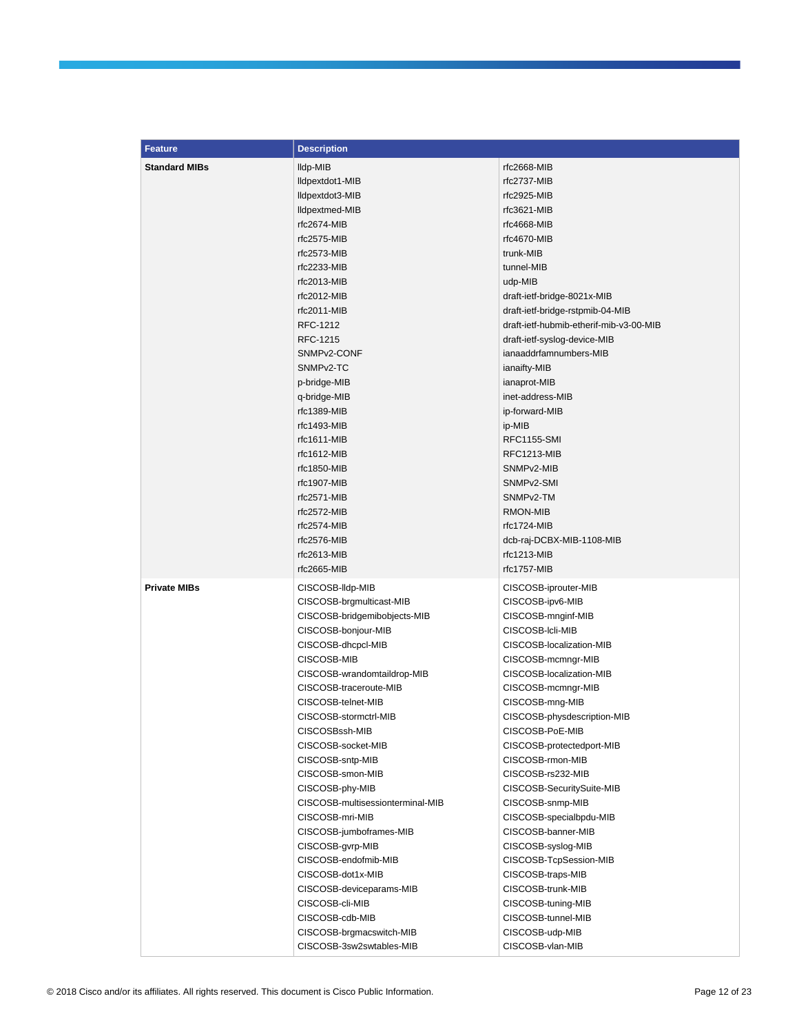| <b>Feature</b>       | <b>Description</b>               |                                         |
|----------------------|----------------------------------|-----------------------------------------|
| <b>Standard MIBs</b> | lldp-MIB                         | rfc2668-MIB                             |
|                      | lldpextdot1-MIB                  | rfc2737-MIB                             |
|                      | lldpextdot3-MIB                  | rfc2925-MIB                             |
|                      | lldpextmed-MIB                   | rfc3621-MIB                             |
|                      | rfc2674-MIB                      | rfc4668-MIB                             |
|                      | rfc2575-MIB                      | rfc4670-MIB                             |
|                      | rfc2573-MIB                      | trunk-MIB                               |
|                      | rfc2233-MIB                      | tunnel-MIB                              |
|                      | $rfc2013-MIB$                    | udp-MIB                                 |
|                      | $rfc2012-MIB$                    | draft-ietf-bridge-8021x-MIB             |
|                      | rfc2011-MIB                      | draft-ietf-bridge-rstpmib-04-MIB        |
|                      | RFC-1212                         | draft-ietf-hubmib-etherif-mib-v3-00-MIB |
|                      | RFC-1215                         | draft-ietf-syslog-device-MIB            |
|                      | SNMP <sub>v2</sub> -CONF         | ianaaddrfamnumbers-MIB                  |
|                      | SNMP <sub>v2</sub> -TC           | ianaifty-MIB                            |
|                      | p-bridge-MIB                     | ianaprot-MIB                            |
|                      | q-bridge-MIB                     | inet-address-MIB                        |
|                      | rfc1389-MIB                      | ip-forward-MIB                          |
|                      | $rfc1493-MIB$                    | ip-MIB                                  |
|                      | $rfc1611-MIB$                    | <b>RFC1155-SMI</b>                      |
|                      | $rfc1612-MIB$                    | RFC1213-MIB                             |
|                      | rfc1850-MIB                      | SNMP <sub>v2</sub> -MIB                 |
|                      | rfc1907-MIB                      | SNMP <sub>v2</sub> -SMI                 |
|                      | rfc2571-MIB                      | SNMP <sub>v2</sub> -TM                  |
|                      | rfc2572-MIB                      | RMON-MIB                                |
|                      | rfc2574-MIB                      | rfc1724-MIB                             |
|                      | rfc2576-MIB                      | dcb-raj-DCBX-MIB-1108-MIB               |
|                      | rfc2613-MIB                      | $rfc1213-MIB$                           |
|                      | rfc2665-MIB                      | rfc1757-MIB                             |
| <b>Private MIBs</b>  | CISCOSB-Ildp-MIB                 | CISCOSB-iprouter-MIB                    |
|                      | CISCOSB-brgmulticast-MIB         | CISCOSB-ipv6-MIB                        |
|                      | CISCOSB-bridgemibobjects-MIB     | CISCOSB-mnginf-MIB                      |
|                      | CISCOSB-bonjour-MIB              | CISCOSB-Icli-MIB                        |
|                      | CISCOSB-dhcpcl-MIB               | CISCOSB-localization-MIB                |
|                      | CISCOSB-MIB                      | CISCOSB-mcmngr-MIB                      |
|                      | CISCOSB-wrandomtaildrop-MIB      | CISCOSB-localization-MIB                |
|                      | CISCOSB-traceroute-MIB           | CISCOSB-mcmngr-MIB                      |
|                      | CISCOSB-telnet-MIB               | CISCOSB-mng-MIB                         |
|                      | CISCOSB-stormctrl-MIB            | CISCOSB-physdescription-MIB             |
|                      | CISCOSBssh-MIB                   | CISCOSB-PoE-MIB                         |
|                      | CISCOSB-socket-MIB               | CISCOSB-protectedport-MIB               |
|                      | CISCOSB-sntp-MIB                 | CISCOSB-rmon-MIB                        |
|                      | CISCOSB-smon-MIB                 | CISCOSB-rs232-MIB                       |
|                      | CISCOSB-phy-MIB                  | CISCOSB-SecuritySuite-MIB               |
|                      | CISCOSB-multisessionterminal-MIB | CISCOSB-snmp-MIB                        |
|                      | CISCOSB-mri-MIB                  | CISCOSB-specialbpdu-MIB                 |
|                      | CISCOSB-jumboframes-MIB          | CISCOSB-banner-MIB                      |
|                      | CISCOSB-gvrp-MIB                 | CISCOSB-syslog-MIB                      |
|                      | CISCOSB-endofmib-MIB             | CISCOSB-TcpSession-MIB                  |
|                      | CISCOSB-dot1x-MIB                | CISCOSB-traps-MIB                       |
|                      | CISCOSB-deviceparams-MIB         | CISCOSB-trunk-MIB                       |
|                      | CISCOSB-cli-MIB                  | CISCOSB-tuning-MIB                      |
|                      | CISCOSB-cdb-MIB                  | CISCOSB-tunnel-MIB                      |
|                      | CISCOSB-brgmacswitch-MIB         | CISCOSB-udp-MIB                         |
|                      | CISCOSB-3sw2swtables-MIB         | CISCOSB-vlan-MIB                        |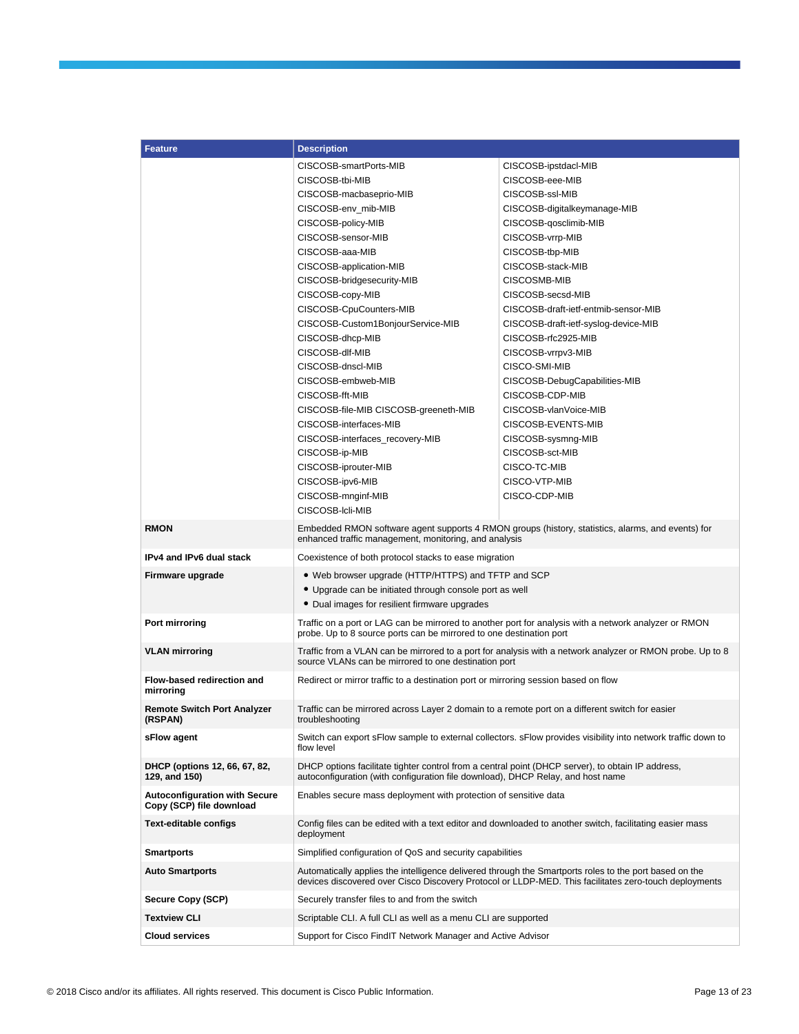| <b>Feature</b>                                                   | <b>Description</b>                                                                                                                                                                   |                                                                                                                                                                                                                 |  |
|------------------------------------------------------------------|--------------------------------------------------------------------------------------------------------------------------------------------------------------------------------------|-----------------------------------------------------------------------------------------------------------------------------------------------------------------------------------------------------------------|--|
|                                                                  | CISCOSB-smartPorts-MIB                                                                                                                                                               | CISCOSB-ipstdacl-MIB                                                                                                                                                                                            |  |
|                                                                  | CISCOSB-tbi-MIB                                                                                                                                                                      | CISCOSB-eee-MIB                                                                                                                                                                                                 |  |
|                                                                  | CISCOSB-macbaseprio-MIB                                                                                                                                                              | CISCOSB-ssl-MIB                                                                                                                                                                                                 |  |
|                                                                  | CISCOSB-env_mib-MIB                                                                                                                                                                  | CISCOSB-digitalkeymanage-MIB                                                                                                                                                                                    |  |
|                                                                  | CISCOSB-policy-MIB                                                                                                                                                                   | CISCOSB-qosclimib-MIB                                                                                                                                                                                           |  |
|                                                                  | CISCOSB-sensor-MIB                                                                                                                                                                   | CISCOSB-vrrp-MIB                                                                                                                                                                                                |  |
|                                                                  | CISCOSB-aaa-MIB                                                                                                                                                                      | CISCOSB-tbp-MIB                                                                                                                                                                                                 |  |
|                                                                  | CISCOSB-application-MIB                                                                                                                                                              | CISCOSB-stack-MIB                                                                                                                                                                                               |  |
|                                                                  | CISCOSB-bridgesecurity-MIB                                                                                                                                                           | CISCOSMB-MIB                                                                                                                                                                                                    |  |
|                                                                  | CISCOSB-copy-MIB                                                                                                                                                                     | CISCOSB-secsd-MIB                                                                                                                                                                                               |  |
|                                                                  | CISCOSB-CpuCounters-MIB                                                                                                                                                              | CISCOSB-draft-ietf-entmib-sensor-MIB                                                                                                                                                                            |  |
|                                                                  | CISCOSB-Custom1BonjourService-MIB                                                                                                                                                    | CISCOSB-draft-ietf-syslog-device-MIB                                                                                                                                                                            |  |
|                                                                  | CISCOSB-dhcp-MIB                                                                                                                                                                     | CISCOSB-rfc2925-MIB                                                                                                                                                                                             |  |
|                                                                  | CISCOSB-dlf-MIB                                                                                                                                                                      | CISCOSB-vrrpv3-MIB                                                                                                                                                                                              |  |
|                                                                  | CISCOSB-dnscl-MIB                                                                                                                                                                    | CISCO-SMI-MIB                                                                                                                                                                                                   |  |
|                                                                  | CISCOSB-embweb-MIB                                                                                                                                                                   | CISCOSB-DebugCapabilities-MIB                                                                                                                                                                                   |  |
|                                                                  | CISCOSB-fft-MIB                                                                                                                                                                      | CISCOSB-CDP-MIB                                                                                                                                                                                                 |  |
|                                                                  | CISCOSB-file-MIB CISCOSB-greeneth-MIB                                                                                                                                                | CISCOSB-vlanVoice-MIB                                                                                                                                                                                           |  |
|                                                                  | CISCOSB-interfaces-MIB                                                                                                                                                               | CISCOSB-EVENTS-MIB                                                                                                                                                                                              |  |
|                                                                  | CISCOSB-interfaces_recovery-MIB                                                                                                                                                      | CISCOSB-sysmng-MIB                                                                                                                                                                                              |  |
|                                                                  | CISCOSB-ip-MIB                                                                                                                                                                       | CISCOSB-sct-MIB                                                                                                                                                                                                 |  |
|                                                                  | CISCOSB-iprouter-MIB                                                                                                                                                                 | CISCO-TC-MIB                                                                                                                                                                                                    |  |
|                                                                  | CISCOSB-ipv6-MIB                                                                                                                                                                     | CISCO-VTP-MIB                                                                                                                                                                                                   |  |
|                                                                  | CISCOSB-mnginf-MIB                                                                                                                                                                   | CISCO-CDP-MIB                                                                                                                                                                                                   |  |
|                                                                  | CISCOSB-Icli-MIB                                                                                                                                                                     |                                                                                                                                                                                                                 |  |
| <b>RMON</b>                                                      | enhanced traffic management, monitoring, and analysis                                                                                                                                | Embedded RMON software agent supports 4 RMON groups (history, statistics, alarms, and events) for                                                                                                               |  |
| IPv4 and IPv6 dual stack                                         | Coexistence of both protocol stacks to ease migration                                                                                                                                |                                                                                                                                                                                                                 |  |
| Firmware upgrade                                                 | • Web browser upgrade (HTTP/HTTPS) and TFTP and SCP                                                                                                                                  |                                                                                                                                                                                                                 |  |
|                                                                  | • Upgrade can be initiated through console port as well                                                                                                                              |                                                                                                                                                                                                                 |  |
|                                                                  | • Dual images for resilient firmware upgrades                                                                                                                                        |                                                                                                                                                                                                                 |  |
| Port mirroring                                                   | probe. Up to 8 source ports can be mirrored to one destination port                                                                                                                  | Traffic on a port or LAG can be mirrored to another port for analysis with a network analyzer or RMON                                                                                                           |  |
| <b>VLAN mirroring</b>                                            | source VLANs can be mirrored to one destination port                                                                                                                                 | Traffic from a VLAN can be mirrored to a port for analysis with a network analyzer or RMON probe. Up to 8                                                                                                       |  |
| Flow-based redirection and<br>mirroring                          | Redirect or mirror traffic to a destination port or mirroring session based on flow                                                                                                  |                                                                                                                                                                                                                 |  |
| <b>Remote Switch Port Analyzer</b><br>(RSPAN)                    | Traffic can be mirrored across Layer 2 domain to a remote port on a different switch for easier<br>troubleshooting                                                                   |                                                                                                                                                                                                                 |  |
| sFlow agent                                                      | flow level                                                                                                                                                                           | Switch can export sFlow sample to external collectors. sFlow provides visibility into network traffic down to                                                                                                   |  |
| DHCP (options 12, 66, 67, 82,<br>129, and 150)                   | DHCP options facilitate tighter control from a central point (DHCP server), to obtain IP address,<br>autoconfiguration (with configuration file download), DHCP Relay, and host name |                                                                                                                                                                                                                 |  |
| <b>Autoconfiguration with Secure</b><br>Copy (SCP) file download | Enables secure mass deployment with protection of sensitive data                                                                                                                     |                                                                                                                                                                                                                 |  |
| <b>Text-editable configs</b>                                     | deployment                                                                                                                                                                           | Config files can be edited with a text editor and downloaded to another switch, facilitating easier mass                                                                                                        |  |
| <b>Smartports</b>                                                | Simplified configuration of QoS and security capabilities                                                                                                                            |                                                                                                                                                                                                                 |  |
| <b>Auto Smartports</b>                                           |                                                                                                                                                                                      | Automatically applies the intelligence delivered through the Smartports roles to the port based on the<br>devices discovered over Cisco Discovery Protocol or LLDP-MED. This facilitates zero-touch deployments |  |
| Secure Copy (SCP)                                                | Securely transfer files to and from the switch                                                                                                                                       |                                                                                                                                                                                                                 |  |
| <b>Textview CLI</b>                                              | Scriptable CLI. A full CLI as well as a menu CLI are supported                                                                                                                       |                                                                                                                                                                                                                 |  |
| <b>Cloud services</b>                                            | Support for Cisco FindIT Network Manager and Active Advisor                                                                                                                          |                                                                                                                                                                                                                 |  |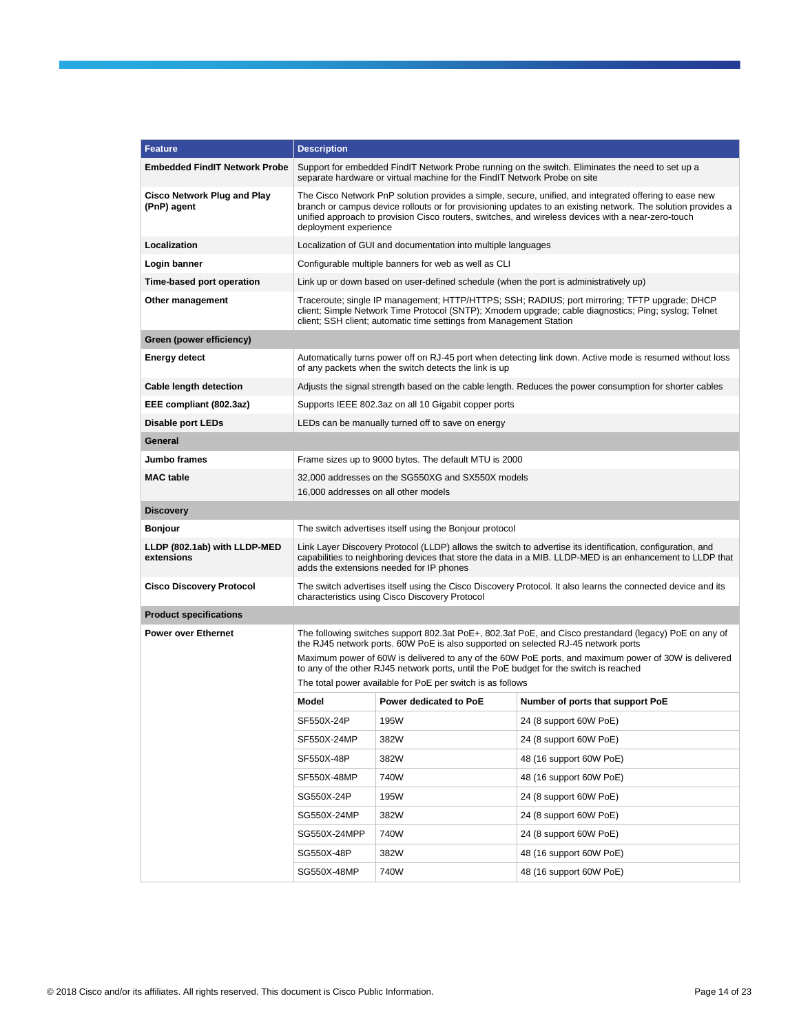| <b>Feature</b>                                    | <b>Description</b>                                                                                                                                                                                                                                                                                                                                    |                                                                                           |                                                                                                                                                                                                       |  |  |
|---------------------------------------------------|-------------------------------------------------------------------------------------------------------------------------------------------------------------------------------------------------------------------------------------------------------------------------------------------------------------------------------------------------------|-------------------------------------------------------------------------------------------|-------------------------------------------------------------------------------------------------------------------------------------------------------------------------------------------------------|--|--|
| <b>Embedded FindIT Network Probe</b>              |                                                                                                                                                                                                                                                                                                                                                       | separate hardware or virtual machine for the FindIT Network Probe on site                 | Support for embedded FindIT Network Probe running on the switch. Eliminates the need to set up a                                                                                                      |  |  |
| <b>Cisco Network Plug and Play</b><br>(PnP) agent | The Cisco Network PnP solution provides a simple, secure, unified, and integrated offering to ease new<br>branch or campus device rollouts or for provisioning updates to an existing network. The solution provides a<br>unified approach to provision Cisco routers, switches, and wireless devices with a near-zero-touch<br>deployment experience |                                                                                           |                                                                                                                                                                                                       |  |  |
| Localization                                      |                                                                                                                                                                                                                                                                                                                                                       | Localization of GUI and documentation into multiple languages                             |                                                                                                                                                                                                       |  |  |
| Login banner                                      |                                                                                                                                                                                                                                                                                                                                                       | Configurable multiple banners for web as well as CLI                                      |                                                                                                                                                                                                       |  |  |
| Time-based port operation                         | Link up or down based on user-defined schedule (when the port is administratively up)                                                                                                                                                                                                                                                                 |                                                                                           |                                                                                                                                                                                                       |  |  |
| Other management                                  |                                                                                                                                                                                                                                                                                                                                                       | client; SSH client; automatic time settings from Management Station                       | Traceroute; single IP management; HTTP/HTTPS; SSH; RADIUS; port mirroring; TFTP upgrade; DHCP<br>client; Simple Network Time Protocol (SNTP); Xmodem upgrade; cable diagnostics; Ping; syslog; Telnet |  |  |
| Green (power efficiency)                          |                                                                                                                                                                                                                                                                                                                                                       |                                                                                           |                                                                                                                                                                                                       |  |  |
| Energy detect                                     |                                                                                                                                                                                                                                                                                                                                                       | of any packets when the switch detects the link is up                                     | Automatically turns power off on RJ-45 port when detecting link down. Active mode is resumed without loss                                                                                             |  |  |
| Cable length detection                            |                                                                                                                                                                                                                                                                                                                                                       |                                                                                           | Adjusts the signal strength based on the cable length. Reduces the power consumption for shorter cables                                                                                               |  |  |
| EEE compliant (802.3az)                           |                                                                                                                                                                                                                                                                                                                                                       | Supports IEEE 802.3az on all 10 Gigabit copper ports                                      |                                                                                                                                                                                                       |  |  |
| <b>Disable port LEDs</b>                          |                                                                                                                                                                                                                                                                                                                                                       | LEDs can be manually turned off to save on energy                                         |                                                                                                                                                                                                       |  |  |
| General                                           |                                                                                                                                                                                                                                                                                                                                                       |                                                                                           |                                                                                                                                                                                                       |  |  |
| Jumbo frames                                      |                                                                                                                                                                                                                                                                                                                                                       | Frame sizes up to 9000 bytes. The default MTU is 2000                                     |                                                                                                                                                                                                       |  |  |
| <b>MAC</b> table                                  |                                                                                                                                                                                                                                                                                                                                                       | 32,000 addresses on the SG550XG and SX550X models<br>16,000 addresses on all other models |                                                                                                                                                                                                       |  |  |
| <b>Discovery</b>                                  |                                                                                                                                                                                                                                                                                                                                                       |                                                                                           |                                                                                                                                                                                                       |  |  |
| Bonjour                                           |                                                                                                                                                                                                                                                                                                                                                       | The switch advertises itself using the Bonjour protocol                                   |                                                                                                                                                                                                       |  |  |
| LLDP (802.1ab) with LLDP-MED<br>extensions        | Link Layer Discovery Protocol (LLDP) allows the switch to advertise its identification, configuration, and<br>capabilities to neighboring devices that store the data in a MIB. LLDP-MED is an enhancement to LLDP that<br>adds the extensions needed for IP phones                                                                                   |                                                                                           |                                                                                                                                                                                                       |  |  |
| <b>Cisco Discovery Protocol</b>                   | The switch advertises itself using the Cisco Discovery Protocol. It also learns the connected device and its<br>characteristics using Cisco Discovery Protocol                                                                                                                                                                                        |                                                                                           |                                                                                                                                                                                                       |  |  |
| <b>Product specifications</b>                     |                                                                                                                                                                                                                                                                                                                                                       |                                                                                           |                                                                                                                                                                                                       |  |  |
| <b>Power over Ethernet</b>                        |                                                                                                                                                                                                                                                                                                                                                       | the RJ45 network ports. 60W PoE is also supported on selected RJ-45 network ports         | The following switches support 802.3at PoE+, 802.3af PoE, and Cisco prestandard (legacy) PoE on any of                                                                                                |  |  |
|                                                   |                                                                                                                                                                                                                                                                                                                                                       | to any of the other RJ45 network ports, until the PoE budget for the switch is reached    | Maximum power of 60W is delivered to any of the 60W PoE ports, and maximum power of 30W is delivered                                                                                                  |  |  |
|                                                   |                                                                                                                                                                                                                                                                                                                                                       | The total power available for PoE per switch is as follows                                |                                                                                                                                                                                                       |  |  |
|                                                   | Model                                                                                                                                                                                                                                                                                                                                                 | Power dedicated to PoE                                                                    | Number of ports that support PoE                                                                                                                                                                      |  |  |
|                                                   | SF550X-24P                                                                                                                                                                                                                                                                                                                                            | 195W                                                                                      | 24 (8 support 60W PoE)                                                                                                                                                                                |  |  |
|                                                   | SF550X-24MP                                                                                                                                                                                                                                                                                                                                           | 382W                                                                                      | 24 (8 support 60W PoE)                                                                                                                                                                                |  |  |
|                                                   | SF550X-48P                                                                                                                                                                                                                                                                                                                                            | 382W                                                                                      | 48 (16 support 60W PoE)                                                                                                                                                                               |  |  |
|                                                   | SF550X-48MP                                                                                                                                                                                                                                                                                                                                           | 740W                                                                                      | 48 (16 support 60W PoE)                                                                                                                                                                               |  |  |
|                                                   | SG550X-24P                                                                                                                                                                                                                                                                                                                                            | 195W                                                                                      | 24 (8 support 60W PoE)                                                                                                                                                                                |  |  |
|                                                   | SG550X-24MP                                                                                                                                                                                                                                                                                                                                           | 382W                                                                                      | 24 (8 support 60W PoE)                                                                                                                                                                                |  |  |
|                                                   | SG550X-24MPP                                                                                                                                                                                                                                                                                                                                          | 740W                                                                                      | 24 (8 support 60W PoE)                                                                                                                                                                                |  |  |
|                                                   | SG550X-48P                                                                                                                                                                                                                                                                                                                                            | 382W                                                                                      | 48 (16 support 60W PoE)                                                                                                                                                                               |  |  |
|                                                   | SG550X-48MP                                                                                                                                                                                                                                                                                                                                           | 740W                                                                                      | 48 (16 support 60W PoE)                                                                                                                                                                               |  |  |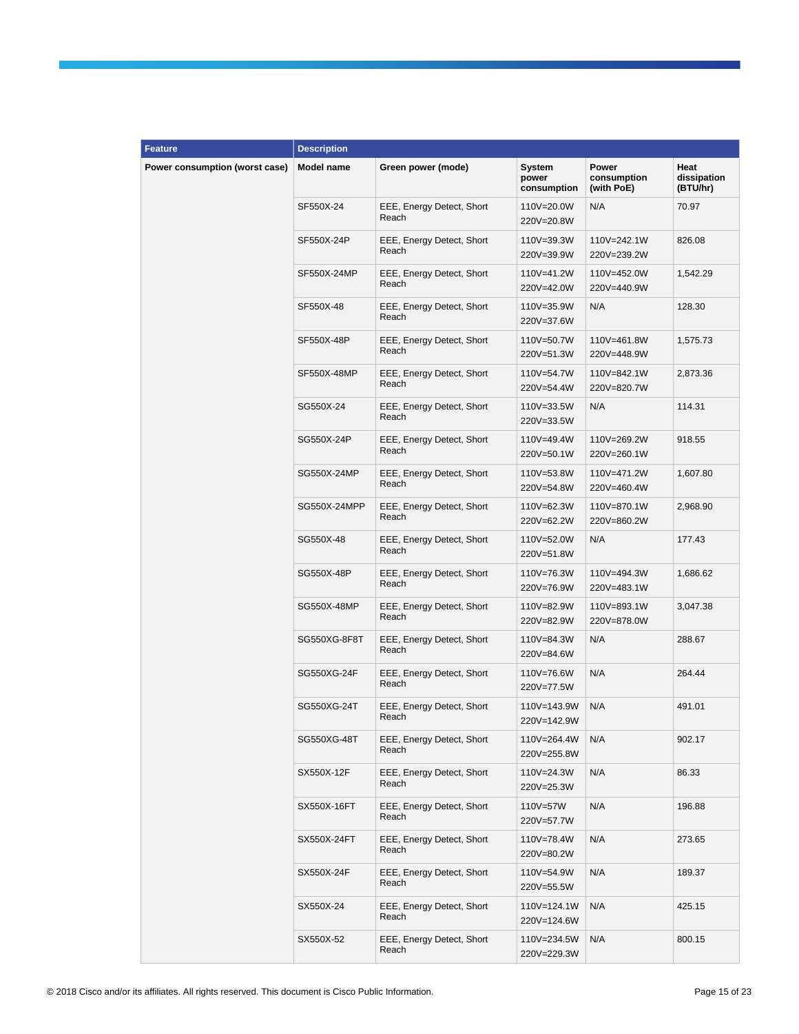| <b>Feature</b>                 | <b>Description</b> |                                    |                                |                                    |                                 |
|--------------------------------|--------------------|------------------------------------|--------------------------------|------------------------------------|---------------------------------|
| Power consumption (worst case) | <b>Model name</b>  | Green power (mode)                 | System<br>power<br>consumption | Power<br>consumption<br>(with PoE) | Heat<br>dissipation<br>(BTU/hr) |
|                                | SF550X-24          | EEE, Energy Detect, Short<br>Reach | 110V=20.0W<br>220V=20.8W       | N/A                                | 70.97                           |
|                                | SF550X-24P         | EEE, Energy Detect, Short<br>Reach | 110V=39.3W<br>220V=39.9W       | 110V=242.1W<br>220V=239.2W         | 826.08                          |
|                                | SF550X-24MP        | EEE, Energy Detect, Short<br>Reach | 110V=41.2W<br>220V=42.0W       | 110V=452.0W<br>220V=440.9W         | 1,542.29                        |
|                                | SF550X-48          | EEE, Energy Detect, Short<br>Reach | 110V=35.9W<br>220V=37.6W       | N/A                                | 128.30                          |
|                                | SF550X-48P         | EEE, Energy Detect, Short<br>Reach | 110V=50.7W<br>220V=51.3W       | 110V=461.8W<br>220V=448.9W         | 1,575.73                        |
|                                | SF550X-48MP        | EEE, Energy Detect, Short<br>Reach | 110V=54.7W<br>220V=54.4W       | 110V=842.1W<br>220V=820.7W         | 2,873.36                        |
|                                | SG550X-24          | EEE, Energy Detect, Short<br>Reach | 110V=33.5W<br>220V=33.5W       | N/A                                | 114.31                          |
|                                | SG550X-24P         | EEE, Energy Detect, Short<br>Reach | 110V=49.4W<br>220V=50.1W       | 110V=269.2W<br>220V=260.1W         | 918.55                          |
|                                | SG550X-24MP        | EEE, Energy Detect, Short<br>Reach | 110V=53.8W<br>220V=54.8W       | 110V=471.2W<br>220V=460.4W         | 1,607.80                        |
|                                | SG550X-24MPP       | EEE, Energy Detect, Short<br>Reach | 110V=62.3W<br>220V=62.2W       | 110V=870.1W<br>220V=860.2W         | 2,968.90                        |
|                                | SG550X-48          | EEE, Energy Detect, Short<br>Reach | 110V=52.0W<br>220V=51.8W       | N/A                                | 177.43                          |
|                                | SG550X-48P         | EEE, Energy Detect, Short<br>Reach | 110V=76.3W<br>220V=76.9W       | 110V=494.3W<br>220V=483.1W         | 1,686.62                        |
|                                | SG550X-48MP        | EEE, Energy Detect, Short<br>Reach | 110V=82.9W<br>220V=82.9W       | 110V=893.1W<br>220V=878.0W         | 3,047.38                        |
|                                | SG550XG-8F8T       | EEE, Energy Detect, Short<br>Reach | 110V=84.3W<br>220V=84.6W       | N/A                                | 288.67                          |
|                                | SG550XG-24F        | EEE, Energy Detect, Short<br>Reach | 110V=76.6W<br>220V=77.5W       | N/A                                | 264.44                          |
|                                | SG550XG-24T        | EEE, Energy Detect, Short<br>Reach | 110V=143.9W<br>220V=142.9W     | N/A                                | 491.01                          |
|                                | SG550XG-48T        | EEE, Energy Detect, Short<br>Reach | 110V=264.4W<br>220V=255.8W     | N/A                                | 902.17                          |
|                                | SX550X-12F         | EEE, Energy Detect, Short<br>Reach | 110V=24.3W<br>220V=25.3W       | N/A                                | 86.33                           |
|                                | SX550X-16FT        | EEE, Energy Detect, Short<br>Reach | 110V=57W<br>220V=57.7W         | N/A                                | 196.88                          |
|                                | SX550X-24FT        | EEE, Energy Detect, Short<br>Reach | 110V=78.4W<br>220V=80.2W       | N/A                                | 273.65                          |
|                                | SX550X-24F         | EEE, Energy Detect, Short<br>Reach | 110V=54.9W<br>220V=55.5W       | N/A                                | 189.37                          |
|                                | SX550X-24          | EEE, Energy Detect, Short<br>Reach | 110V=124.1W<br>220V=124.6W     | N/A                                | 425.15                          |
|                                | SX550X-52          | EEE, Energy Detect, Short<br>Reach | 110V=234.5W<br>220V=229.3W     | N/A                                | 800.15                          |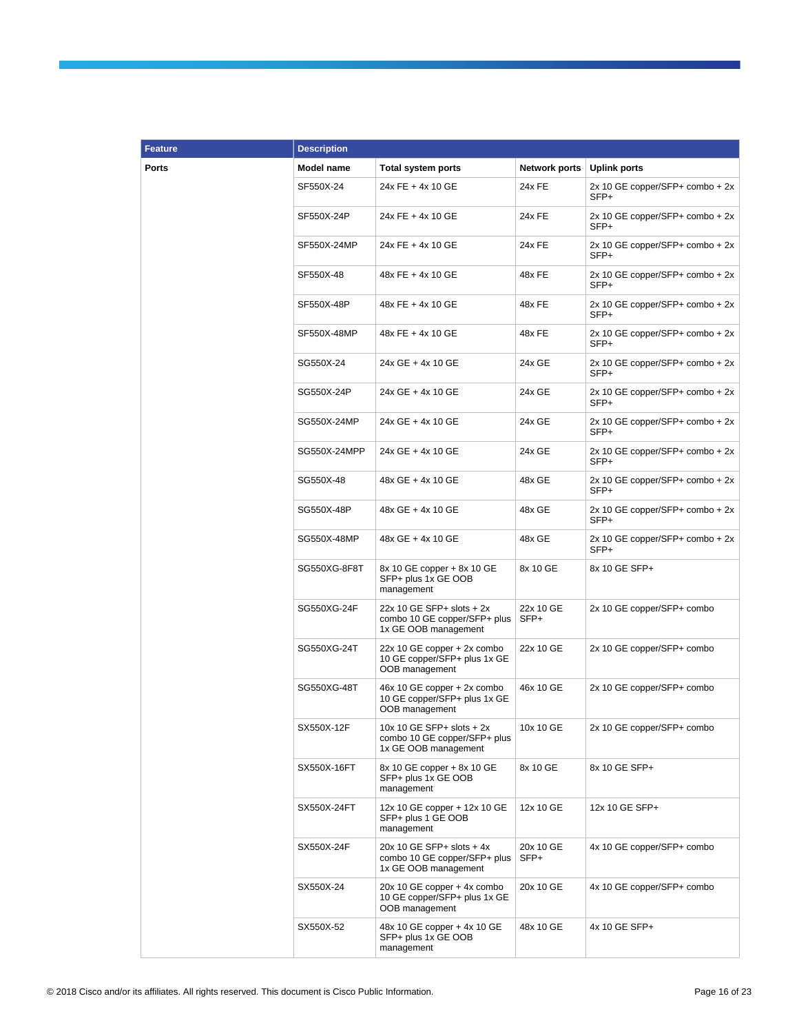| <b>Feature</b> | <b>Description</b> |                                                                                     |                      |                                           |
|----------------|--------------------|-------------------------------------------------------------------------------------|----------------------|-------------------------------------------|
| <b>Ports</b>   | <b>Model name</b>  | <b>Total system ports</b>                                                           | <b>Network ports</b> | <b>Uplink ports</b>                       |
|                | SF550X-24          | 24x FE + 4x 10 GE                                                                   | 24x FE               | $2x 10 GE copper/SFP+ combo + 2x$<br>SFP+ |
|                | SF550X-24P         | 24x FE + 4x 10 GE                                                                   | 24x FE               | 2x 10 GE copper/SFP+ combo + 2x<br>SFP+   |
|                | SF550X-24MP        | 24x FE + 4x 10 GE                                                                   | 24x FE               | $2x 10 GE copper/SFP+ combo + 2x$<br>SFP+ |
|                | SF550X-48          | 48x FE + 4x 10 GE                                                                   | 48x FE               | $2x 10 GE copper/SFP+ combo + 2x$<br>SFP+ |
|                | SF550X-48P         | 48x FE + 4x 10 GE                                                                   | 48x FE               | $2x 10 GE copper/SFP+ combo + 2x$<br>SFP+ |
|                | SF550X-48MP        | 48x FE + 4x 10 GE                                                                   | 48x FE               | $2x 10 GE copper/SFP+ combo + 2x$<br>SFP+ |
|                | SG550X-24          | 24x GE + 4x 10 GE                                                                   | 24x GE               | $2x 10 GE copper/SFP+ combo + 2x$<br>SFP+ |
|                | SG550X-24P         | 24x GE + 4x 10 GE                                                                   | 24x GE               | 2x 10 GE copper/SFP+ combo + 2x<br>SFP+   |
|                | SG550X-24MP        | 24x GE + 4x 10 GE                                                                   | 24x GE               | $2x 10 GE copper/SFP+ combo + 2x$<br>SFP+ |
|                | SG550X-24MPP       | 24x GE + 4x 10 GE                                                                   | 24x GE               | $2x 10 GE copper/SFP+ combo + 2x$<br>SFP+ |
|                | SG550X-48          | 48x GE + 4x 10 GE                                                                   | 48x GE               | $2x 10 GE copper/SFP+ combo + 2x$<br>SFP+ |
|                | SG550X-48P         | 48x GE + 4x 10 GE                                                                   | 48x GE               | $2x 10 GE copper/SFP+ combo + 2x$<br>SFP+ |
|                | SG550X-48MP        | 48x GE + 4x 10 GE                                                                   | 48x GE               | $2x 10 GE copper/SFP+ combo + 2x$<br>SFP+ |
|                | SG550XG-8F8T       | 8x 10 GE copper + 8x 10 GE<br>SFP+ plus 1x GE OOB<br>management                     | 8x 10 GE             | 8x 10 GE SFP+                             |
|                | SG550XG-24F        | 22x 10 GE SFP+ slots + 2x<br>combo 10 GE copper/SFP+ plus<br>1x GE OOB management   | 22x 10 GE<br>SFP+    | 2x 10 GE copper/SFP+ combo                |
|                | SG550XG-24T        | 22x 10 GE copper + 2x combo<br>10 GE copper/SFP+ plus 1x GE<br>OOB management       | 22x 10 GE            | 2x 10 GE copper/SFP+ combo                |
|                | SG550XG-48T        | 46x 10 GE copper + 2x combo<br>10 GE copper/SFP+ plus 1x GE<br>OOB management       | 46x 10 GE            | 2x 10 GE copper/SFP+ combo                |
|                | SX550X-12F         | 10x 10 GE SFP+ slots $+2x$<br>combo 10 GE copper/SFP+ plus<br>1x GE OOB management  | 10x 10 GE            | 2x 10 GE copper/SFP+ combo                |
|                | SX550X-16FT        | 8x 10 GE copper + 8x 10 GE<br>SFP+ plus 1x GE OOB<br>management                     | 8x 10 GE             | 8x 10 GE SFP+                             |
|                | SX550X-24FT        | 12x 10 GE copper + 12x 10 GE<br>SFP+ plus 1 GE OOB<br>management                    | 12x 10 GE            | 12x 10 GE SFP+                            |
|                | SX550X-24F         | $20x$ 10 GE SFP+ slots + 4x<br>combo 10 GE copper/SFP+ plus<br>1x GE OOB management | 20x 10 GE<br>SFP+    | 4x 10 GE copper/SFP+ combo                |
|                | SX550X-24          | 20x 10 GE copper + 4x combo<br>10 GE copper/SFP+ plus 1x GE<br>OOB management       | 20x 10 GE            | 4x 10 GE copper/SFP+ combo                |
|                | SX550X-52          | 48x 10 GE copper + 4x 10 GE<br>SFP+ plus 1x GE OOB<br>management                    | 48x 10 GE            | 4x 10 GE SFP+                             |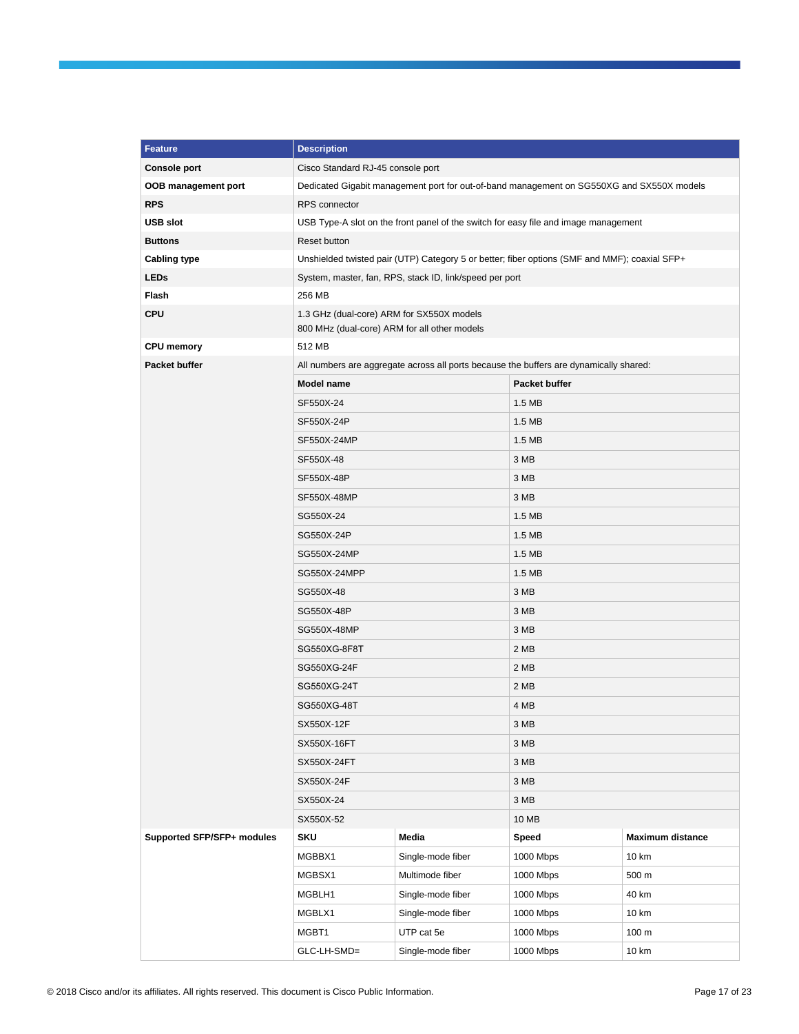| <b>Feature</b>             | <b>Description</b>                                                                        |                                                                                               |               |                         |  |  |
|----------------------------|-------------------------------------------------------------------------------------------|-----------------------------------------------------------------------------------------------|---------------|-------------------------|--|--|
| <b>Console port</b>        | Cisco Standard RJ-45 console port                                                         |                                                                                               |               |                         |  |  |
| OOB management port        | Dedicated Gigabit management port for out-of-band management on SG550XG and SX550X models |                                                                                               |               |                         |  |  |
| <b>RPS</b>                 | RPS connector                                                                             |                                                                                               |               |                         |  |  |
| <b>USB slot</b>            | USB Type-A slot on the front panel of the switch for easy file and image management       |                                                                                               |               |                         |  |  |
| <b>Buttons</b>             | Reset button                                                                              |                                                                                               |               |                         |  |  |
| <b>Cabling type</b>        |                                                                                           | Unshielded twisted pair (UTP) Category 5 or better; fiber options (SMF and MMF); coaxial SFP+ |               |                         |  |  |
| <b>LEDs</b>                | System, master, fan, RPS, stack ID, link/speed per port                                   |                                                                                               |               |                         |  |  |
| Flash                      | 256 MB                                                                                    |                                                                                               |               |                         |  |  |
| <b>CPU</b>                 | 1.3 GHz (dual-core) ARM for SX550X models<br>800 MHz (dual-core) ARM for all other models |                                                                                               |               |                         |  |  |
| <b>CPU memory</b>          | 512 MB                                                                                    |                                                                                               |               |                         |  |  |
| Packet buffer              | All numbers are aggregate across all ports because the buffers are dynamically shared:    |                                                                                               |               |                         |  |  |
|                            | Model name                                                                                |                                                                                               | Packet buffer |                         |  |  |
|                            | SF550X-24                                                                                 |                                                                                               | 1.5 MB        |                         |  |  |
|                            | SF550X-24P                                                                                |                                                                                               | 1.5 MB        |                         |  |  |
|                            | SF550X-24MP                                                                               |                                                                                               | 1.5 MB        |                         |  |  |
|                            | SF550X-48                                                                                 |                                                                                               | 3 MB          |                         |  |  |
|                            | SF550X-48P                                                                                |                                                                                               | 3 MB          |                         |  |  |
|                            | SF550X-48MP                                                                               |                                                                                               | 3 MB          |                         |  |  |
|                            | SG550X-24                                                                                 |                                                                                               | 1.5 MB        |                         |  |  |
|                            | SG550X-24P                                                                                |                                                                                               | 1.5 MB        |                         |  |  |
|                            | SG550X-24MP                                                                               |                                                                                               | 1.5 MB        |                         |  |  |
|                            | SG550X-24MPP                                                                              |                                                                                               | 1.5 MB        |                         |  |  |
|                            | SG550X-48                                                                                 |                                                                                               | 3 MB          |                         |  |  |
|                            | SG550X-48P                                                                                |                                                                                               | 3 MB          |                         |  |  |
|                            | SG550X-48MP                                                                               |                                                                                               | 3 MB          |                         |  |  |
|                            | SG550XG-8F8T                                                                              |                                                                                               | 2 MB          |                         |  |  |
|                            | SG550XG-24F                                                                               |                                                                                               | 2 MB          |                         |  |  |
|                            | SG550XG-24T                                                                               |                                                                                               | 2 MB          |                         |  |  |
|                            | SG550XG-48T                                                                               |                                                                                               | 4 MB          |                         |  |  |
|                            | SX550X-12F                                                                                |                                                                                               | 3 MB          |                         |  |  |
|                            | SX550X-16FT                                                                               |                                                                                               | 3 MB          |                         |  |  |
|                            | SX550X-24FT                                                                               |                                                                                               | 3 MB          |                         |  |  |
|                            | SX550X-24F                                                                                |                                                                                               | 3 MB          |                         |  |  |
|                            | SX550X-24                                                                                 |                                                                                               | 3 MB          |                         |  |  |
|                            | SX550X-52                                                                                 |                                                                                               | 10 MB         |                         |  |  |
| Supported SFP/SFP+ modules | <b>SKU</b>                                                                                | Media                                                                                         | Speed         | <b>Maximum distance</b> |  |  |
|                            | MGBBX1                                                                                    | Single-mode fiber                                                                             | 1000 Mbps     | 10 km                   |  |  |
|                            | MGBSX1                                                                                    | Multimode fiber                                                                               | 1000 Mbps     | 500 m                   |  |  |
|                            | MGBLH1                                                                                    | Single-mode fiber                                                                             | 1000 Mbps     | 40 km                   |  |  |
|                            | MGBLX1                                                                                    | Single-mode fiber                                                                             | 1000 Mbps     | 10 km                   |  |  |
|                            | MGBT1                                                                                     | UTP cat 5e                                                                                    | 1000 Mbps     | 100 m                   |  |  |
|                            | GLC-LH-SMD=                                                                               | Single-mode fiber                                                                             | 1000 Mbps     | 10 km                   |  |  |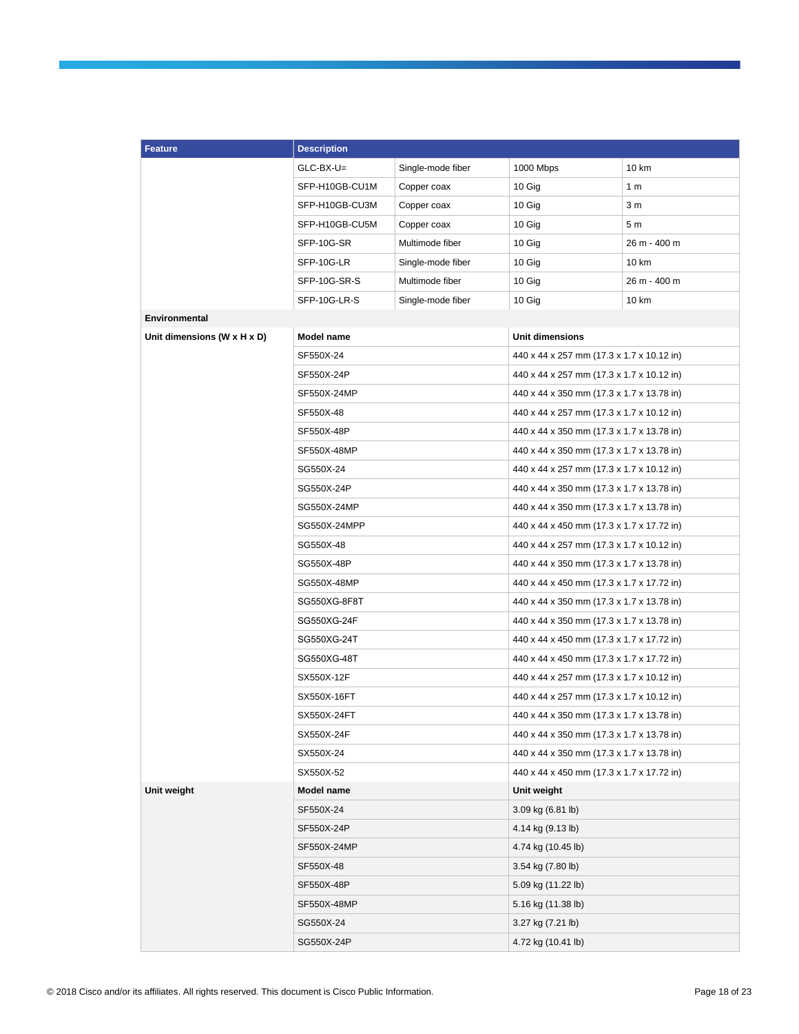| <b>Feature</b>              | <b>Description</b> |                   |                                           |                                           |  |
|-----------------------------|--------------------|-------------------|-------------------------------------------|-------------------------------------------|--|
|                             | $GLC-BX-U=$        | Single-mode fiber | 1000 Mbps                                 | 10 km                                     |  |
|                             | SFP-H10GB-CU1M     | Copper coax       | 10 Gig                                    | 1 <sub>m</sub>                            |  |
|                             | SFP-H10GB-CU3M     | Copper coax       | 10 Gig                                    | 3 <sub>m</sub>                            |  |
|                             | SFP-H10GB-CU5M     | Copper coax       | 10 Gig                                    | 5 <sub>m</sub>                            |  |
|                             | SFP-10G-SR         | Multimode fiber   | 10 Gig                                    | 26 m - 400 m                              |  |
|                             | SFP-10G-LR         | Single-mode fiber | 10 Gig                                    | 10 km                                     |  |
|                             | SFP-10G-SR-S       | Multimode fiber   | 10 Gig                                    | 26 m - 400 m                              |  |
|                             | SFP-10G-LR-S       | Single-mode fiber | 10 Gig                                    | 10 km                                     |  |
| Environmental               |                    |                   |                                           |                                           |  |
| Unit dimensions (W x H x D) | Model name         |                   | Unit dimensions                           |                                           |  |
|                             | SF550X-24          |                   |                                           | 440 x 44 x 257 mm (17.3 x 1.7 x 10.12 in) |  |
|                             | SF550X-24P         |                   | 440 x 44 x 257 mm (17.3 x 1.7 x 10.12 in) |                                           |  |
|                             | SF550X-24MP        |                   | 440 x 44 x 350 mm (17.3 x 1.7 x 13.78 in) |                                           |  |
|                             | SF550X-48          |                   | 440 x 44 x 257 mm (17.3 x 1.7 x 10.12 in) |                                           |  |
|                             | SF550X-48P         |                   | 440 x 44 x 350 mm (17.3 x 1.7 x 13.78 in) |                                           |  |
|                             | SF550X-48MP        |                   | 440 x 44 x 350 mm (17.3 x 1.7 x 13.78 in) |                                           |  |
|                             | SG550X-24          |                   | 440 x 44 x 257 mm (17.3 x 1.7 x 10.12 in) |                                           |  |
|                             | SG550X-24P         |                   | 440 x 44 x 350 mm (17.3 x 1.7 x 13.78 in) |                                           |  |
|                             | SG550X-24MP        |                   | 440 x 44 x 350 mm (17.3 x 1.7 x 13.78 in) |                                           |  |
|                             | SG550X-24MPP       |                   | 440 x 44 x 450 mm (17.3 x 1.7 x 17.72 in) |                                           |  |
|                             | SG550X-48          |                   | 440 x 44 x 257 mm (17.3 x 1.7 x 10.12 in) |                                           |  |
|                             | SG550X-48P         |                   | 440 x 44 x 350 mm (17.3 x 1.7 x 13.78 in) |                                           |  |
|                             | SG550X-48MP        |                   | 440 x 44 x 450 mm (17.3 x 1.7 x 17.72 in) |                                           |  |
|                             | SG550XG-8F8T       |                   | 440 x 44 x 350 mm (17.3 x 1.7 x 13.78 in) |                                           |  |
|                             | SG550XG-24F        |                   | 440 x 44 x 350 mm (17.3 x 1.7 x 13.78 in) |                                           |  |
|                             | SG550XG-24T        |                   | 440 x 44 x 450 mm (17.3 x 1.7 x 17.72 in) |                                           |  |
|                             | SG550XG-48T        |                   | 440 x 44 x 450 mm (17.3 x 1.7 x 17.72 in) |                                           |  |
|                             | SX550X-12F         |                   | 440 x 44 x 257 mm (17.3 x 1.7 x 10.12 in) |                                           |  |
|                             | SX550X-16FT        |                   | 440 x 44 x 257 mm (17.3 x 1.7 x 10.12 in) |                                           |  |
|                             | SX550X-24FT        |                   |                                           | 440 x 44 x 350 mm (17.3 x 1.7 x 13.78 in) |  |
|                             | SX550X-24F         |                   | 440 x 44 x 350 mm (17.3 x 1.7 x 13.78 in) |                                           |  |
|                             | SX550X-24          |                   | 440 x 44 x 350 mm (17.3 x 1.7 x 13.78 in) |                                           |  |
|                             | SX550X-52          |                   | 440 x 44 x 450 mm (17.3 x 1.7 x 17.72 in) |                                           |  |
| Unit weight                 | Model name         |                   | Unit weight                               |                                           |  |
|                             | SF550X-24          |                   | 3.09 kg (6.81 lb)                         |                                           |  |
|                             | SF550X-24P         |                   | 4.14 kg (9.13 lb)                         |                                           |  |
|                             | SF550X-24MP        |                   | 4.74 kg (10.45 lb)                        |                                           |  |
|                             | SF550X-48          |                   | 3.54 kg (7.80 lb)                         |                                           |  |
|                             | SF550X-48P         |                   |                                           | 5.09 kg (11.22 lb)                        |  |
|                             | SF550X-48MP        |                   | 5.16 kg (11.38 lb)                        |                                           |  |
|                             | SG550X-24          |                   | 3.27 kg (7.21 lb)                         |                                           |  |
|                             | SG550X-24P         |                   | 4.72 kg (10.41 lb)                        |                                           |  |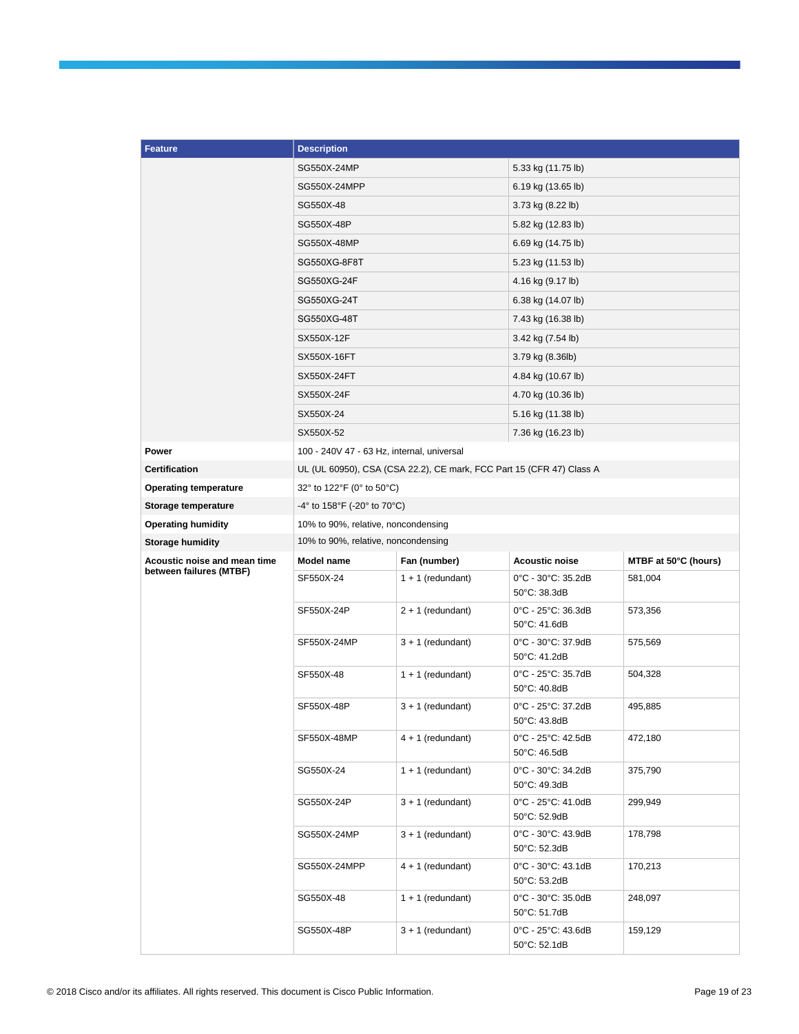| <b>Feature</b>                                          | <b>Description</b>                                                   |                     |                                    |                      |  |
|---------------------------------------------------------|----------------------------------------------------------------------|---------------------|------------------------------------|----------------------|--|
|                                                         | SG550X-24MP                                                          |                     | 5.33 kg (11.75 lb)                 |                      |  |
|                                                         | SG550X-24MPP                                                         |                     | 6.19 kg (13.65 lb)                 |                      |  |
|                                                         | SG550X-48                                                            |                     | 3.73 kg (8.22 lb)                  |                      |  |
|                                                         | SG550X-48P                                                           |                     | 5.82 kg (12.83 lb)                 |                      |  |
|                                                         | SG550X-48MP                                                          |                     |                                    | 6.69 kg (14.75 lb)   |  |
|                                                         | SG550XG-8F8T                                                         |                     | 5.23 kg (11.53 lb)                 |                      |  |
|                                                         | SG550XG-24F                                                          |                     | 4.16 kg (9.17 lb)                  |                      |  |
|                                                         | SG550XG-24T                                                          |                     | 6.38 kg (14.07 lb)                 |                      |  |
|                                                         | SG550XG-48T                                                          |                     | 7.43 kg (16.38 lb)                 |                      |  |
|                                                         | SX550X-12F                                                           |                     | 3.42 kg (7.54 lb)                  |                      |  |
|                                                         | SX550X-16FT                                                          |                     | 3.79 kg (8.36lb)                   |                      |  |
|                                                         | SX550X-24FT                                                          |                     | 4.84 kg (10.67 lb)                 |                      |  |
|                                                         | SX550X-24F                                                           |                     | 4.70 kg (10.36 lb)                 |                      |  |
|                                                         | SX550X-24                                                            |                     | 5.16 kg (11.38 lb)                 |                      |  |
|                                                         | SX550X-52                                                            |                     | 7.36 kg (16.23 lb)                 |                      |  |
| Power                                                   | 100 - 240V 47 - 63 Hz, internal, universal                           |                     |                                    |                      |  |
| <b>Certification</b>                                    | UL (UL 60950), CSA (CSA 22.2), CE mark, FCC Part 15 (CFR 47) Class A |                     |                                    |                      |  |
| <b>Operating temperature</b>                            | 32° to 122°F (0° to 50°C)                                            |                     |                                    |                      |  |
| Storage temperature                                     | $-4^{\circ}$ to 158°F ( $-20^{\circ}$ to 70°C)                       |                     |                                    |                      |  |
| <b>Operating humidity</b>                               | 10% to 90%, relative, noncondensing                                  |                     |                                    |                      |  |
| <b>Storage humidity</b>                                 | 10% to 90%, relative, noncondensing                                  |                     |                                    |                      |  |
| Acoustic noise and mean time<br>between failures (MTBF) | Model name                                                           | Fan (number)        | <b>Acoustic noise</b>              | MTBF at 50°C (hours) |  |
|                                                         | SF550X-24                                                            | $1 + 1$ (redundant) | 0°C - 30°C: 35.2dB<br>50°C: 38.3dB | 581,004              |  |
|                                                         | SF550X-24P                                                           | $2 + 1$ (redundant) | 0°C - 25°C: 36.3dB<br>50°C: 41.6dB | 573,356              |  |
|                                                         | SF550X-24MP                                                          | $3 + 1$ (redundant) | 0°C - 30°C: 37.9dB<br>50°C: 41.2dB | 575,569              |  |
|                                                         | SF550X-48                                                            | $1 + 1$ (redundant) | 0°C - 25°C: 35.7dB<br>50°C: 40.8dB | 504,328              |  |
|                                                         | SF550X-48P                                                           | $3 + 1$ (redundant) | 0°C - 25°C: 37.2dB<br>50°C: 43.8dB | 495,885              |  |
|                                                         | SF550X-48MP                                                          | 4 + 1 (redundant)   | 0°C - 25°C: 42.5dB<br>50°C: 46.5dB | 472,180              |  |
|                                                         | SG550X-24                                                            | $1 + 1$ (redundant) | 0°C - 30°C: 34.2dB<br>50°C: 49.3dB | 375,790              |  |
|                                                         | SG550X-24P                                                           | $3 + 1$ (redundant) | 0°C - 25°C: 41.0dB<br>50°C: 52.9dB | 299,949              |  |
|                                                         | SG550X-24MP                                                          | $3 + 1$ (redundant) | 0°C - 30°C: 43.9dB<br>50°C: 52.3dB | 178,798              |  |
|                                                         | SG550X-24MPP                                                         | 4 + 1 (redundant)   | 0°C - 30°C: 43.1dB<br>50°C: 53.2dB | 170,213              |  |
|                                                         | SG550X-48                                                            | $1 + 1$ (redundant) | 0°C - 30°C: 35.0dB<br>50°C: 51.7dB | 248,097              |  |
|                                                         | SG550X-48P                                                           | 3 + 1 (redundant)   | 0°C - 25°C: 43.6dB<br>50°C: 52.1dB | 159,129              |  |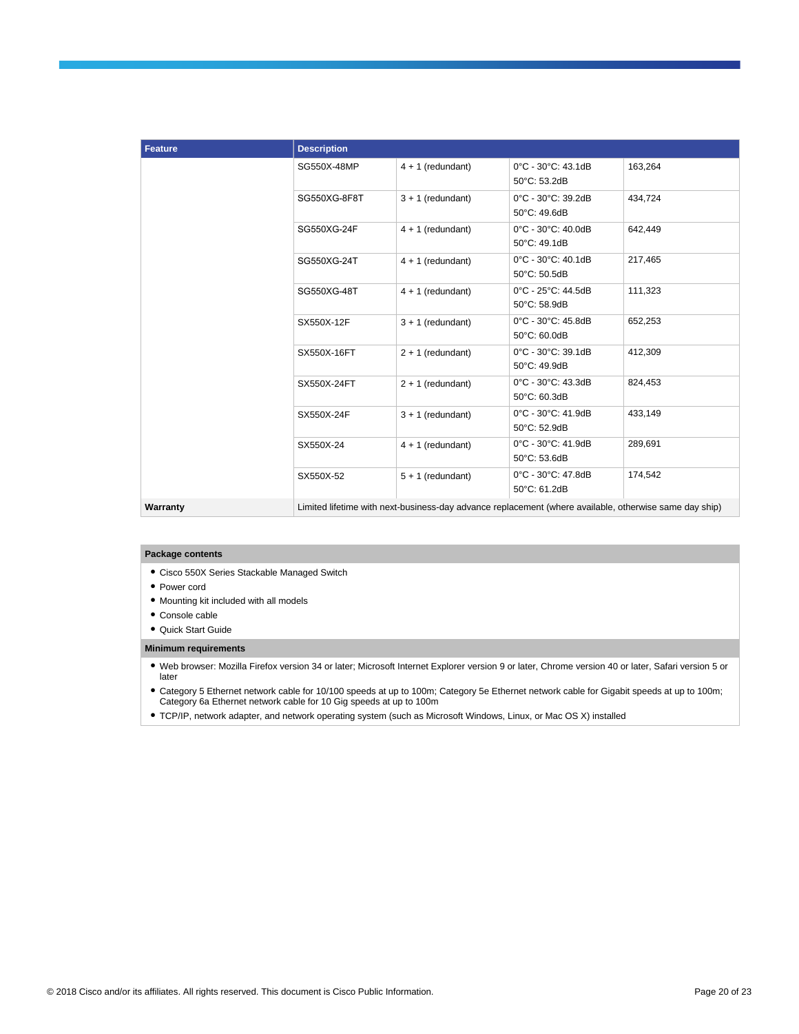| <b>Feature</b> | <b>Description</b> |                                                                                                        |                                    |         |
|----------------|--------------------|--------------------------------------------------------------------------------------------------------|------------------------------------|---------|
|                | SG550X-48MP        | $4 + 1$ (redundant)                                                                                    | 0°C - 30°C: 43.1dB<br>50°C: 53.2dB | 163,264 |
|                | SG550XG-8F8T       | $3 + 1$ (redundant)                                                                                    | 0°C - 30°C: 39.2dB<br>50°C: 49.6dB | 434,724 |
|                | SG550XG-24F        | $4 + 1$ (redundant)                                                                                    | 0°C - 30°C: 40.0dB<br>50°C: 49.1dB | 642,449 |
|                | SG550XG-24T        | $4 + 1$ (redundant)                                                                                    | 0°C - 30°C: 40.1dB<br>50°C: 50.5dB | 217.465 |
|                | SG550XG-48T        | $4 + 1$ (redundant)                                                                                    | 0°C - 25°C: 44.5dB<br>50°C: 58.9dB | 111,323 |
|                | SX550X-12F         | $3 + 1$ (redundant)                                                                                    | 0°C - 30°C: 45.8dB<br>50°C: 60.0dB | 652,253 |
|                | SX550X-16FT        | $2 + 1$ (redundant)                                                                                    | 0°C - 30°C: 39.1dB<br>50°C: 49.9dB | 412,309 |
|                | SX550X-24FT        | $2 + 1$ (redundant)                                                                                    | 0°C - 30°C: 43.3dB<br>50°C: 60.3dB | 824,453 |
|                | SX550X-24F         | $3 + 1$ (redundant)                                                                                    | 0°C - 30°C: 41.9dB<br>50°C: 52.9dB | 433,149 |
|                | SX550X-24          | $4 + 1$ (redundant)                                                                                    | 0°C - 30°C: 41.9dB<br>50°C: 53.6dB | 289,691 |
|                | SX550X-52          | $5 + 1$ (redundant)                                                                                    | 0°C - 30°C: 47.8dB<br>50°C: 61.2dB | 174,542 |
| Warranty       |                    | Limited lifetime with next-business-day advance replacement (where available, otherwise same day ship) |                                    |         |

#### **Package contents**

- Cisco 550X Series Stackable Managed Switch
- Power cord
- Mounting kit included with all models
- Console cable
- Quick Start Guide

#### **Minimum requirements**

● Web browser: Mozilla Firefox version 34 or later; Microsoft Internet Explorer version 9 or later, Chrome version 40 or later, Safari version 5 or later

● Category 5 Ethernet network cable for 10/100 speeds at up to 100m; Category 5e Ethernet network cable for Gigabit speeds at up to 100m; Category 6a Ethernet network cable for 10 Gig speeds at up to 100m

● TCP/IP, network adapter, and network operating system (such as Microsoft Windows, Linux, or Mac OS X) installed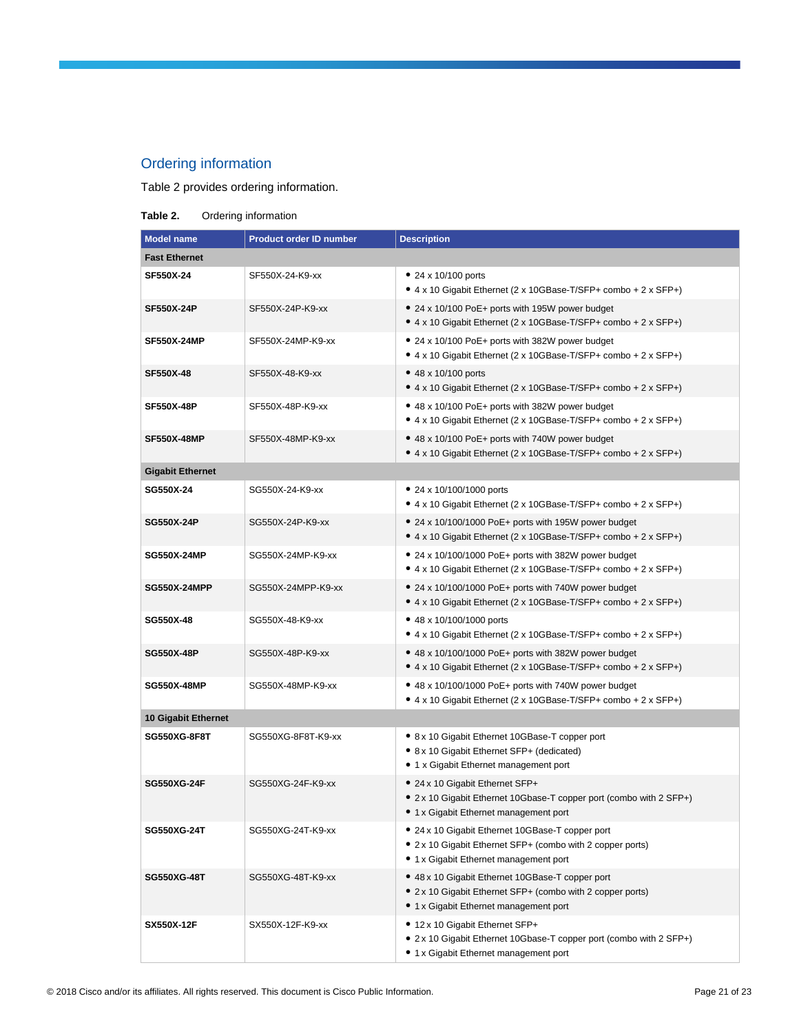# Ordering information

Table 2 provides ordering information.

**Table 2.** Ordering information

| <b>Model name</b>       | <b>Product order ID number</b> | <b>Description</b>                                                                                                                                       |
|-------------------------|--------------------------------|----------------------------------------------------------------------------------------------------------------------------------------------------------|
| <b>Fast Ethernet</b>    |                                |                                                                                                                                                          |
| SF550X-24               | SF550X-24-K9-xx                | • 24 x 10/100 ports<br>• 4 x 10 Gigabit Ethernet (2 x 10GBase-T/SFP+ combo + 2 x SFP+)                                                                   |
| <b>SF550X-24P</b>       | SF550X-24P-K9-xx               | • 24 x 10/100 PoE+ ports with 195W power budget<br>● 4 x 10 Gigabit Ethernet (2 x 10GBase-T/SFP+ combo + 2 x SFP+)                                       |
| <b>SF550X-24MP</b>      | SF550X-24MP-K9-xx              | • 24 x 10/100 PoE+ ports with 382W power budget<br>● 4 x 10 Gigabit Ethernet (2 x 10GBase-T/SFP+ combo + 2 x SFP+)                                       |
| SF550X-48               | SF550X-48-K9-xx                | • 48 x 10/100 ports<br>• 4 x 10 Gigabit Ethernet (2 x 10GBase-T/SFP+ combo + 2 x SFP+)                                                                   |
| <b>SF550X-48P</b>       | SF550X-48P-K9-xx               | • 48 x 10/100 PoE+ ports with 382W power budget<br>● 4 x 10 Gigabit Ethernet (2 x 10GBase-T/SFP+ combo + 2 x SFP+)                                       |
| <b>SF550X-48MP</b>      | SF550X-48MP-K9-xx              | • 48 x 10/100 PoE+ ports with 740W power budget<br>● 4 x 10 Gigabit Ethernet (2 x 10GBase-T/SFP+ combo + 2 x SFP+)                                       |
| <b>Gigabit Ethernet</b> |                                |                                                                                                                                                          |
| SG550X-24               | SG550X-24-K9-xx                | • 24 x 10/100/1000 ports<br>● 4 x 10 Gigabit Ethernet (2 x 10GBase-T/SFP+ combo + 2 x SFP+)                                                              |
| SG550X-24P              | SG550X-24P-K9-xx               | • 24 x 10/100/1000 PoE+ ports with 195W power budget<br>● 4 x 10 Gigabit Ethernet (2 x 10GBase-T/SFP+ combo + 2 x SFP+)                                  |
| <b>SG550X-24MP</b>      | SG550X-24MP-K9-xx              | • 24 x 10/100/1000 PoE+ ports with 382W power budget<br>• 4 x 10 Gigabit Ethernet (2 x 10GBase-T/SFP+ combo + 2 x SFP+)                                  |
| <b>SG550X-24MPP</b>     | SG550X-24MPP-K9-xx             | • 24 x 10/100/1000 PoE+ ports with 740W power budget<br>● 4 x 10 Gigabit Ethernet (2 x 10GBase-T/SFP+ combo + 2 x SFP+)                                  |
| SG550X-48               | SG550X-48-K9-xx                | • 48 x 10/100/1000 ports<br>● 4 x 10 Gigabit Ethernet (2 x 10GBase-T/SFP+ combo + 2 x SFP+)                                                              |
| <b>SG550X-48P</b>       | SG550X-48P-K9-xx               | • 48 x 10/100/1000 PoE+ ports with 382W power budget<br>● 4 x 10 Gigabit Ethernet (2 x 10GBase-T/SFP+ combo + 2 x SFP+)                                  |
| <b>SG550X-48MP</b>      | SG550X-48MP-K9-xx              | • 48 x 10/100/1000 PoE+ ports with 740W power budget<br>• 4 x 10 Gigabit Ethernet (2 x 10GBase-T/SFP+ combo + 2 x SFP+)                                  |
| 10 Gigabit Ethernet     |                                |                                                                                                                                                          |
| <b>SG550XG-8F8T</b>     | SG550XG-8F8T-K9-xx             | • 8 x 10 Gigabit Ethernet 10GBase-T copper port<br>• 8 x 10 Gigabit Ethernet SFP+ (dedicated)<br>• 1 x Gigabit Ethernet management port                  |
| <b>SG550XG-24F</b>      | SG550XG-24F-K9-xx              | • 24 x 10 Gigabit Ethernet SFP+<br>• 2 x 10 Gigabit Ethernet 10Gbase-T copper port (combo with 2 SFP+)<br>• 1 x Gigabit Ethernet management port         |
| <b>SG550XG-24T</b>      | SG550XG-24T-K9-xx              | • 24 x 10 Gigabit Ethernet 10GBase-T copper port<br>• 2 x 10 Gigabit Ethernet SFP+ (combo with 2 copper ports)<br>• 1 x Gigabit Ethernet management port |
| <b>SG550XG-48T</b>      | SG550XG-48T-K9-xx              | • 48 x 10 Gigabit Ethernet 10GBase-T copper port<br>• 2 x 10 Gigabit Ethernet SFP+ (combo with 2 copper ports)<br>• 1 x Gigabit Ethernet management port |
| SX550X-12F              | SX550X-12F-K9-xx               | • 12 x 10 Gigabit Ethernet SFP+<br>• 2 x 10 Gigabit Ethernet 10Gbase-T copper port (combo with 2 SFP+)<br>• 1 x Gigabit Ethernet management port         |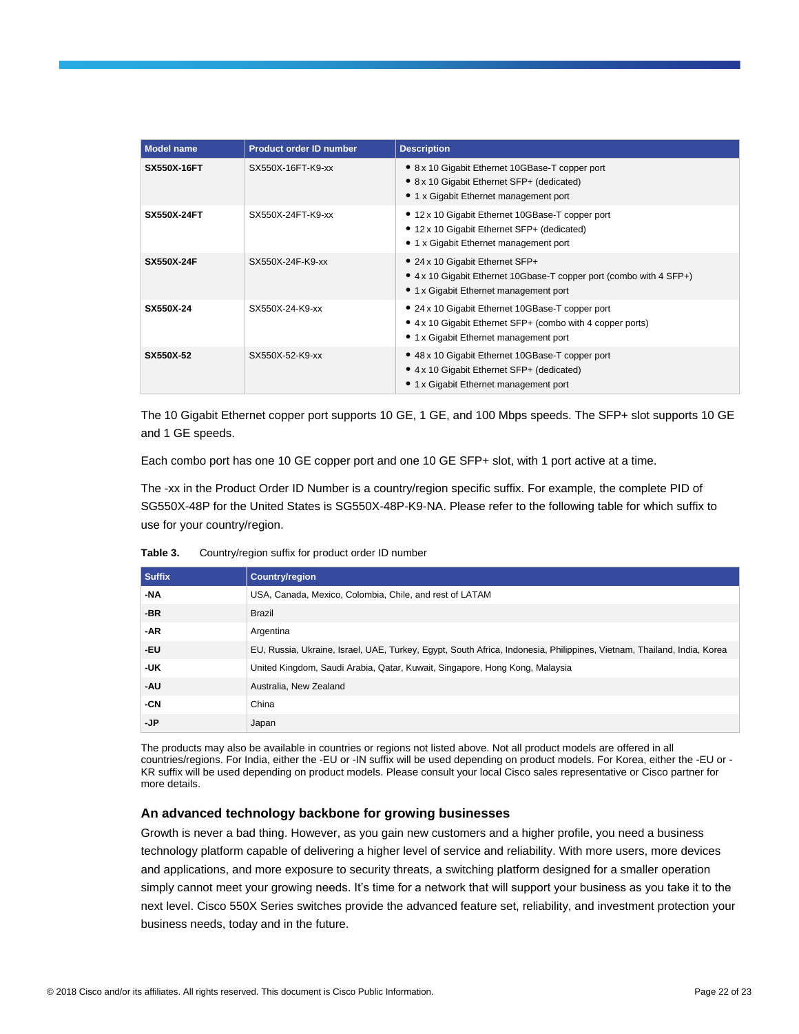| <b>Model name</b>  | <b>Product order ID number</b> | <b>Description</b>                                                                                                                                       |
|--------------------|--------------------------------|----------------------------------------------------------------------------------------------------------------------------------------------------------|
| <b>SX550X-16FT</b> | SX550X-16FT-K9-xx              | • 8 x 10 Gigabit Ethernet 10GBase-T copper port<br>• 8 x 10 Gigabit Ethernet SFP+ (dedicated)<br>• 1 x Gigabit Ethernet management port                  |
| <b>SX550X-24FT</b> | SX550X-24FT-K9-xx              | • 12 x 10 Gigabit Ethernet 10GBase-T copper port<br>• 12 x 10 Gigabit Ethernet SFP+ (dedicated)<br>• 1 x Gigabit Ethernet management port                |
| <b>SX550X-24F</b>  | SX550X-24F-K9-xx               | • 24 x 10 Gigabit Ethernet SFP+<br>• 4 x 10 Gigabit Ethernet 10Gbase-T copper port (combo with 4 SFP+)<br>• 1 x Gigabit Ethernet management port         |
| SX550X-24          | SX550X-24-K9-xx                | • 24 x 10 Gigabit Ethernet 10GBase-T copper port<br>• 4 x 10 Gigabit Ethernet SFP+ (combo with 4 copper ports)<br>• 1 x Gigabit Ethernet management port |
| SX550X-52          | SX550X-52-K9-xx                | • 48 x 10 Gigabit Ethernet 10GBase-T copper port<br>• 4 x 10 Gigabit Ethernet SFP+ (dedicated)<br>• 1 x Gigabit Ethernet management port                 |

The 10 Gigabit Ethernet copper port supports 10 GE, 1 GE, and 100 Mbps speeds. The SFP+ slot supports 10 GE and 1 GE speeds.

Each combo port has one 10 GE copper port and one 10 GE SFP+ slot, with 1 port active at a time.

The -xx in the Product Order ID Number is a country/region specific suffix. For example, the complete PID of SG550X-48P for the United States is SG550X-48P-K9-NA. Please refer to the following table for which suffix to use for your country/region.

| <b>Suffix</b> | Country/region                                                                                                                                                                                                                                                                                                                                                                                                         |
|---------------|------------------------------------------------------------------------------------------------------------------------------------------------------------------------------------------------------------------------------------------------------------------------------------------------------------------------------------------------------------------------------------------------------------------------|
| <b>ALA</b>    | $\mathbf{1} \mathbf{1} \mathbf{0} \mathbf{1} \mathbf{1} \mathbf{0} \mathbf{1} \mathbf{1} \mathbf{1} \mathbf{1} \mathbf{1} \mathbf{1} \mathbf{1} \mathbf{1} \mathbf{1} \mathbf{1} \mathbf{1} \mathbf{1} \mathbf{1} \mathbf{1} \mathbf{1} \mathbf{1} \mathbf{1} \mathbf{1} \mathbf{1} \mathbf{1} \mathbf{1} \mathbf{1} \mathbf{1} \mathbf{1} \mathbf{1} \mathbf{1} \mathbf{1} \mathbf{1} \mathbf{1} \mathbf{1} \mathbf{$ |

**Table 3.** Country/region suffix for product order ID number

| <b>Suffix</b> | <b>Country/region</b>                                                                                                  |
|---------------|------------------------------------------------------------------------------------------------------------------------|
| -NA           | USA, Canada, Mexico, Colombia, Chile, and rest of LATAM                                                                |
| -BR           | Brazil                                                                                                                 |
| -AR           | Argentina                                                                                                              |
| -EU           | EU, Russia, Ukraine, Israel, UAE, Turkey, Egypt, South Africa, Indonesia, Philippines, Vietnam, Thailand, India, Korea |
| -UK           | United Kingdom, Saudi Arabia, Qatar, Kuwait, Singapore, Hong Kong, Malaysia                                            |
| -AU           | Australia, New Zealand                                                                                                 |
| -CN           | China                                                                                                                  |
| -JP           | Japan                                                                                                                  |

The products may also be available in countries or regions not listed above. Not all product models are offered in all countries/regions. For India, either the -EU or -IN suffix will be used depending on product models. For Korea, either the -EU or - KR suffix will be used depending on product models. Please consult your local Cisco sales representative or Cisco partner for more details.

## **An advanced technology backbone for growing businesses**

Growth is never a bad thing. However, as you gain new customers and a higher profile, you need a business technology platform capable of delivering a higher level of service and reliability. With more users, more devices and applications, and more exposure to security threats, a switching platform designed for a smaller operation simply cannot meet your growing needs. It's time for a network that will support your business as you take it to the next level. Cisco 550X Series switches provide the advanced feature set, reliability, and investment protection your business needs, today and in the future.